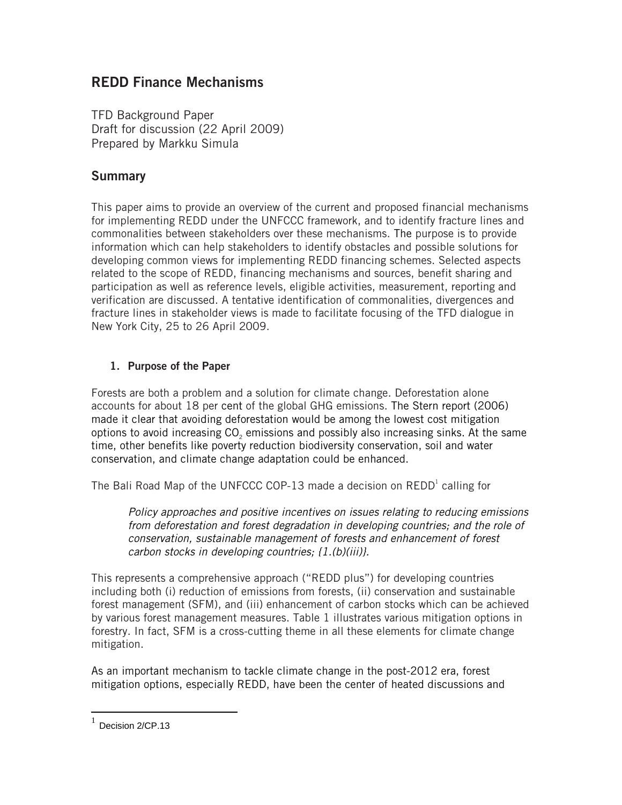# **REDD Finance Mechanisms**

TFD Background Paper Draft for discussion (22 April 2009) Prepared by Markku Simula

# **Summary**

This paper aims to provide an overview of the current and proposed financial mechanisms for implementing REDD under the UNFCCC framework, and to identify fracture lines and commonalities between stakeholders over these mechanisms. The purpose is to provide information which can help stakeholders to identify obstacles and possible solutions for developing common views for implementing REDD financing schemes. Selected aspects related to the scope of REDD, financing mechanisms and sources, benefit sharing and participation as well as reference levels, eligible activities, measurement, reporting and verification are discussed. A tentative identification of commonalities, divergences and fracture lines in stakeholder views is made to facilitate focusing of the TFD dialogue in New York City, 25 to 26 April 2009.

# **1. Purpose of the Paper**

Forests are both a problem and a solution for climate change. Deforestation alone accounts for about 18 per cent of the global GHG emissions. The Stern report (2006) made it clear that avoiding deforestation would be among the lowest cost mitigation options to avoid increasing CO<sub>2</sub> emissions and possibly also increasing sinks. At the same time, other benefits like poverty reduction biodiversity conservation, soil and water conservation, and climate change adaptation could be enhanced.

The Bali Road Map of the UNFCCC COP-13 made a decision on  $\mathsf{REDD}^\mathsf{l}$  calling for

*Policy approaches and positive incentives on issues relating to reducing emissions from deforestation and forest degradation in developing countries; and the role of conservation, sustainable management of forests and enhancement of forest carbon stocks in developing countries; {1.(b)(iii)}.*

This represents a comprehensive approach ("REDD plus") for developing countries including both (i) reduction of emissions from forests, (ii) conservation and sustainable forest management (SFM), and (iii) enhancement of carbon stocks which can be achieved by various forest management measures. Table 1 illustrates various mitigation options in forestry. In fact, SFM is a cross-cutting theme in all these elements for climate change mitigation.

As an important mechanism to tackle climate change in the post-2012 era, forest mitigation options, especially REDD, have been the center of heated discussions and

 $\overline{a}$ 

 $1$  Decision 2/CP.13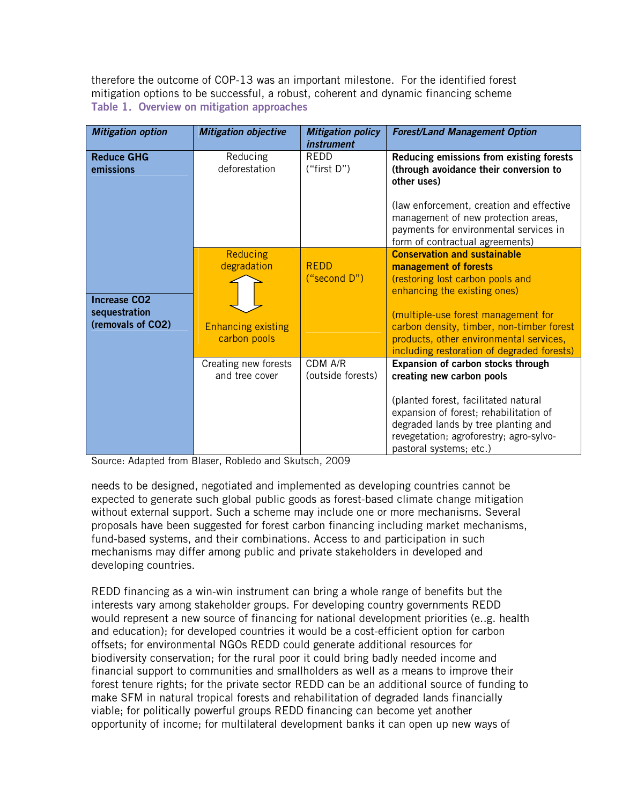therefore the outcome of COP-13 was an important milestone. For the identified forest mitigation options to be successful, a robust, coherent and dynamic financing scheme **Table 1***.* **Overview on mitigation approaches** 

| <b>Mitigation option</b>                                  | <b>Mitigation objective</b>                                                 | <b>Mitigation policy</b><br><i>instrument</i> | <b>Forest/Land Management Option</b>                                                                                                                                                                                                                                                                          |
|-----------------------------------------------------------|-----------------------------------------------------------------------------|-----------------------------------------------|---------------------------------------------------------------------------------------------------------------------------------------------------------------------------------------------------------------------------------------------------------------------------------------------------------------|
| <b>Reduce GHG</b><br>emissions                            | Reducing<br>deforestation                                                   | REDD<br>("first $D$ ")                        | Reducing emissions from existing forests<br>(through avoidance their conversion to<br>other uses)<br>(law enforcement, creation and effective<br>management of new protection areas,<br>payments for environmental services in<br>form of contractual agreements)                                             |
| <b>Increase CO2</b><br>sequestration<br>(removals of CO2) | <b>Reducing</b><br>degradation<br><b>Enhancing existing</b><br>carbon pools | <b>REDD</b><br>("second D")                   | <b>Conservation and sustainable</b><br>management of forests<br>(restoring lost carbon pools and<br>enhancing the existing ones)<br>(multiple-use forest management for<br>carbon density, timber, non-timber forest<br>products, other environmental services,<br>including restoration of degraded forests) |
|                                                           | Creating new forests<br>and tree cover                                      | CDM A/R<br>(outside forests)                  | Expansion of carbon stocks through<br>creating new carbon pools<br>(planted forest, facilitated natural<br>expansion of forest; rehabilitation of<br>degraded lands by tree planting and<br>revegetation; agroforestry; agro-sylvo-<br>pastoral systems; etc.)                                                |

Source: Adapted from Blaser, Robledo and Skutsch, 2009

needs to be designed, negotiated and implemented as developing countries cannot be expected to generate such global public goods as forest-based climate change mitigation without external support. Such a scheme may include one or more mechanisms. Several proposals have been suggested for forest carbon financing including market mechanisms, fund-based systems, and their combinations. Access to and participation in such mechanisms may differ among public and private stakeholders in developed and developing countries.

REDD financing as a win-win instrument can bring a whole range of benefits but the interests vary among stakeholder groups. For developing country governments REDD would represent a new source of financing for national development priorities (e..g. health and education); for developed countries it would be a cost-efficient option for carbon offsets; for environmental NGOs REDD could generate additional resources for biodiversity conservation; for the rural poor it could bring badly needed income and financial support to communities and smallholders as well as a means to improve their forest tenure rights; for the private sector REDD can be an additional source of funding to make SFM in natural tropical forests and rehabilitation of degraded lands financially viable; for politically powerful groups REDD financing can become yet another opportunity of income; for multilateral development banks it can open up new ways of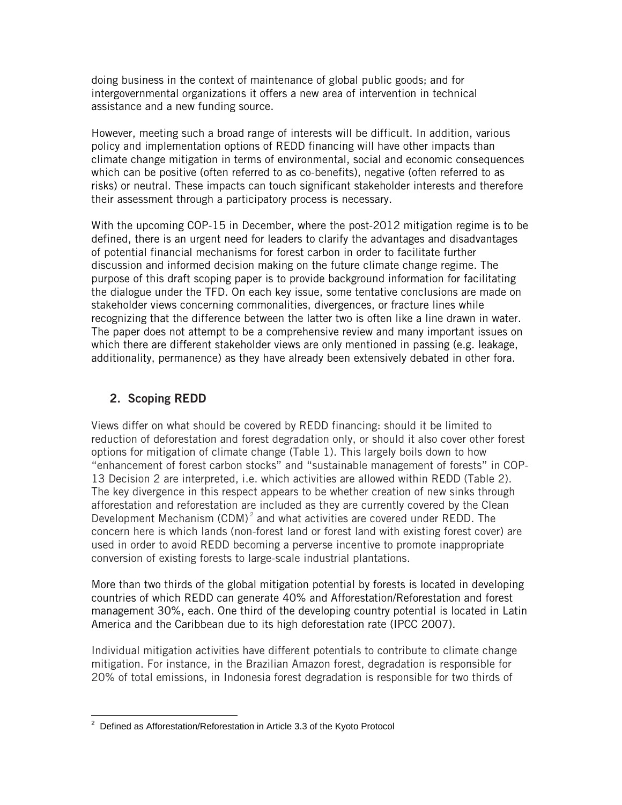doing business in the context of maintenance of global public goods; and for intergovernmental organizations it offers a new area of intervention in technical assistance and a new funding source.

However, meeting such a broad range of interests will be difficult. In addition, various policy and implementation options of REDD financing will have other impacts than climate change mitigation in terms of environmental, social and economic consequences which can be positive (often referred to as co-benefits), negative (often referred to as risks) or neutral. These impacts can touch significant stakeholder interests and therefore their assessment through a participatory process is necessary.

With the upcoming COP-15 in December, where the post-2012 mitigation regime is to be defined, there is an urgent need for leaders to clarify the advantages and disadvantages of potential financial mechanisms for forest carbon in order to facilitate further discussion and informed decision making on the future climate change regime. The purpose of this draft scoping paper is to provide background information for facilitating the dialogue under the TFD. On each key issue, some tentative conclusions are made on stakeholder views concerning commonalities, divergences, or fracture lines while recognizing that the difference between the latter two is often like a line drawn in water. The paper does not attempt to be a comprehensive review and many important issues on which there are different stakeholder views are only mentioned in passing (e.g. leakage, additionality, permanence) as they have already been extensively debated in other fora.

# **2. Scoping REDD**

Views differ on what should be covered by REDD financing: should it be limited to reduction of deforestation and forest degradation only, or should it also cover other forest options for mitigation of climate change (Table 1). This largely boils down to how "enhancement of forest carbon stocks" and "sustainable management of forests" in COP-13 Decision 2 are interpreted, i.e. which activities are allowed within REDD (Table 2). The key divergence in this respect appears to be whether creation of new sinks through afforestation and reforestation are included as they are currently covered by the Clean Development Mechanism (CDM)<sup> $2$ </sup> and what activities are covered under REDD. The concern here is which lands (non-forest land or forest land with existing forest cover) are used in order to avoid REDD becoming a perverse incentive to promote inappropriate conversion of existing forests to large-scale industrial plantations.

More than two thirds of the global mitigation potential by forests is located in developing countries of which REDD can generate 40% and Afforestation/Reforestation and forest management 30%, each. One third of the developing country potential is located in Latin America and the Caribbean due to its high deforestation rate (IPCC 2007).

Individual mitigation activities have different potentials to contribute to climate change mitigation. For instance, in the Brazilian Amazon forest, degradation is responsible for 20% of total emissions, in Indonesia forest degradation is responsible for two thirds of

 2 Defined as Afforestation/Reforestation in Article 3.3 of the Kyoto Protocol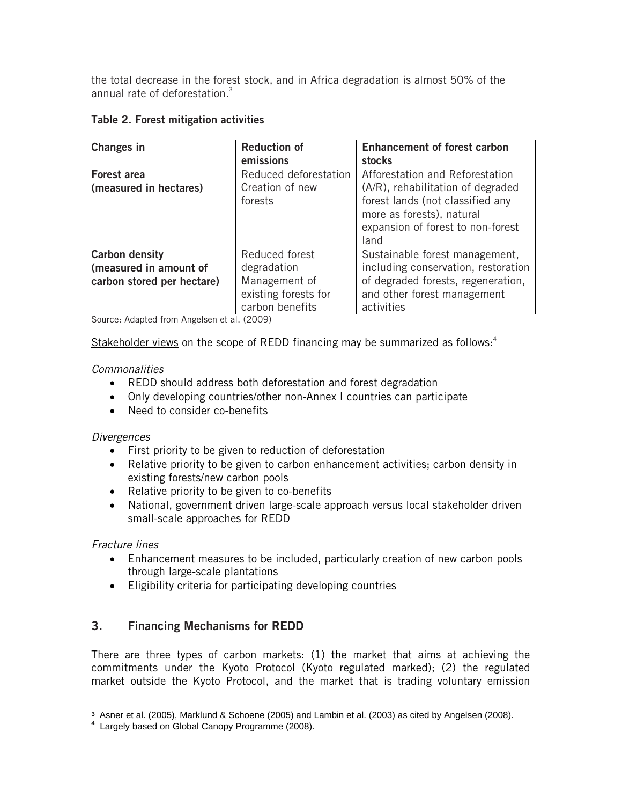the total decrease in the forest stock, and in Africa degradation is almost 50% of the annual rate of deforestation.3

|  | Table 2. Forest mitigation activities |  |
|--|---------------------------------------|--|
|  |                                       |  |

| <b>Changes in</b>          | <b>Reduction of</b>   | <b>Enhancement of forest carbon</b>                                                                        |
|----------------------------|-----------------------|------------------------------------------------------------------------------------------------------------|
|                            | emissions             | stocks                                                                                                     |
| <b>Forest area</b>         | Reduced deforestation | Afforestation and Reforestation                                                                            |
| (measured in hectares)     | Creation of new       | (A/R), rehabilitation of degraded                                                                          |
|                            | forests               | forest lands (not classified any<br>more as forests), natural<br>expansion of forest to non-forest<br>land |
| <b>Carbon density</b>      | Reduced forest        | Sustainable forest management,                                                                             |
| (measured in amount of     | degradation           | including conservation, restoration                                                                        |
| carbon stored per hectare) | Management of         | of degraded forests, regeneration,                                                                         |
|                            | existing forests for  | and other forest management                                                                                |
|                            | carbon benefits       | activities                                                                                                 |

Source: Adapted from Angelsen et al. (2009)

Stakeholder views on the scope of REDD financing may be summarized as follows: $4$ 

# *Commonalities*

- REDD should address both deforestation and forest degradation
- Only developing countries/other non-Annex I countries can participate
- Need to consider co-benefits

## *Divergences*

- First priority to be given to reduction of deforestation
- Relative priority to be given to carbon enhancement activities; carbon density in existing forests/new carbon pools
- Relative priority to be given to co-benefits
- National, government driven large-scale approach versus local stakeholder driven small-scale approaches for REDD

*Fracture lines* 

- Enhancement measures to be included, particularly creation of new carbon pools through large-scale plantations
- Eligibility criteria for participating developing countries

# **3. Financing Mechanisms for REDD**

There are three types of carbon markets: (1) the market that aims at achieving the commitments under the Kyoto Protocol (Kyoto regulated marked); (2) the regulated market outside the Kyoto Protocol, and the market that is trading voluntary emission

 $\overline{a}$ <sup>3</sup> Asner et al. (2005), Marklund & Schoene (2005) and Lambin et al. (2003) as cited by Angelsen (2008).<br><sup>4</sup> Largely based en Clebel Caneny Pregramme (2009).

Largely based on Global Canopy Programme (2008).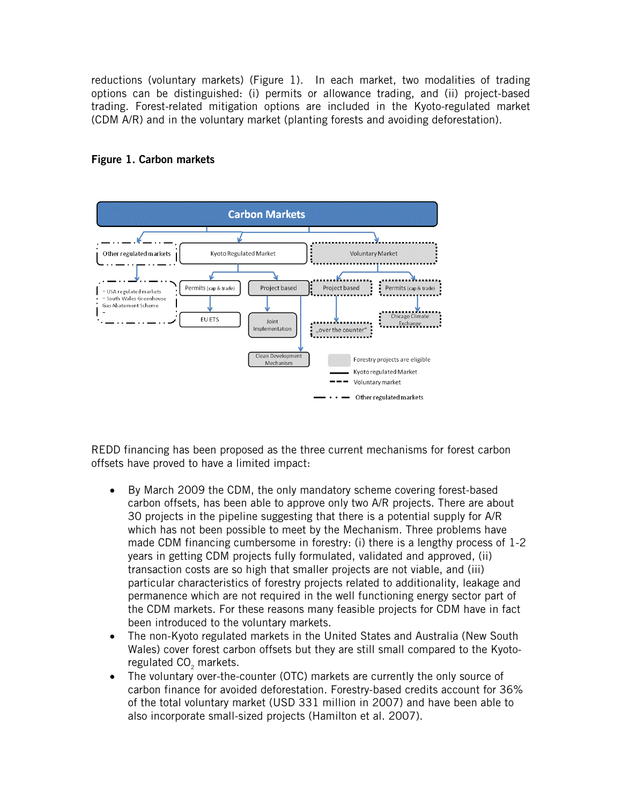reductions (voluntary markets) (Figure 1). In each market, two modalities of trading options can be distinguished: (i) permits or allowance trading, and (ii) project-based trading. Forest-related mitigation options are included in the Kyoto-regulated market (CDM A/R) and in the voluntary market (planting forests and avoiding deforestation).



# **Figure 1. Carbon markets**

REDD financing has been proposed as the three current mechanisms for forest carbon offsets have proved to have a limited impact:

- By March 2009 the CDM, the only mandatory scheme covering forest-based carbon offsets, has been able to approve only two A/R projects. There are about 30 projects in the pipeline suggesting that there is a potential supply for A/R which has not been possible to meet by the Mechanism. Three problems have made CDM financing cumbersome in forestry: (i) there is a lengthy process of 1-2 years in getting CDM projects fully formulated, validated and approved, (ii) transaction costs are so high that smaller projects are not viable, and (iii) particular characteristics of forestry projects related to additionality, leakage and permanence which are not required in the well functioning energy sector part of the CDM markets. For these reasons many feasible projects for CDM have in fact been introduced to the voluntary markets.
- The non-Kyoto regulated markets in the United States and Australia (New South Wales) cover forest carbon offsets but they are still small compared to the Kyotoregulated CO<sub>2</sub> markets.
- The voluntary over-the-counter (OTC) markets are currently the only source of carbon finance for avoided deforestation. Forestry-based credits account for 36% of the total voluntary market (USD 331 million in 2007) and have been able to also incorporate small-sized projects (Hamilton et al. 2007).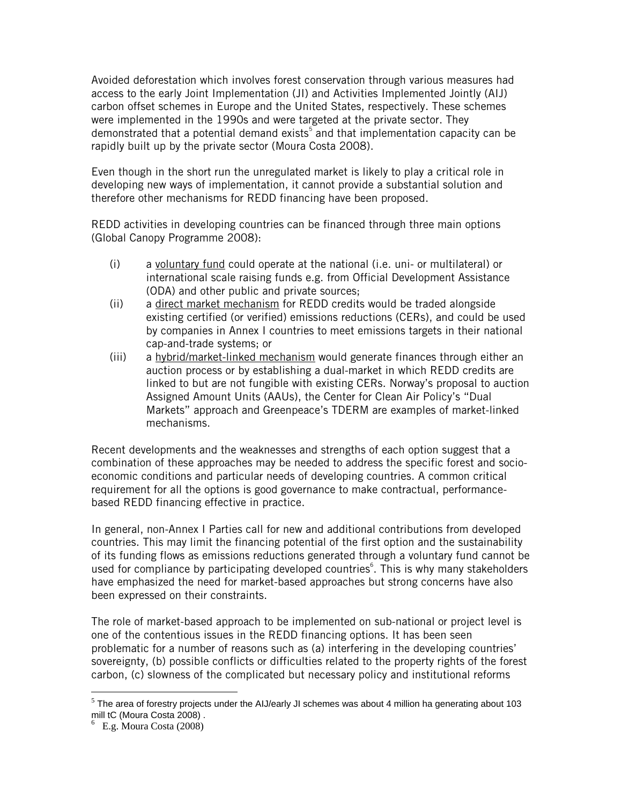Avoided deforestation which involves forest conservation through various measures had access to the early Joint Implementation (JI) and Activities Implemented Jointly (AIJ) carbon offset schemes in Europe and the United States, respectively. These schemes were implemented in the 1990s and were targeted at the private sector. They demonstrated that a potential demand exists<sup>5</sup> and that implementation capacity can be rapidly built up by the private sector (Moura Costa 2008).

Even though in the short run the unregulated market is likely to play a critical role in developing new ways of implementation, it cannot provide a substantial solution and therefore other mechanisms for REDD financing have been proposed.

REDD activities in developing countries can be financed through three main options (Global Canopy Programme 2008):

- (i) a voluntary fund could operate at the national (i.e. uni- or multilateral) or international scale raising funds e.g. from Official Development Assistance (ODA) and other public and private sources;
- (ii) a direct market mechanism for REDD credits would be traded alongside existing certified (or verified) emissions reductions (CERs), and could be used by companies in Annex I countries to meet emissions targets in their national cap-and-trade systems; or
- (iii) a hybrid/market-linked mechanism would generate finances through either an auction process or by establishing a dual-market in which REDD credits are linked to but are not fungible with existing CERs. Norway's proposal to auction Assigned Amount Units (AAUs), the Center for Clean Air Policy's "Dual Markets" approach and Greenpeace's TDERM are examples of market-linked mechanisms.

Recent developments and the weaknesses and strengths of each option suggest that a combination of these approaches may be needed to address the specific forest and socioeconomic conditions and particular needs of developing countries. A common critical requirement for all the options is good governance to make contractual, performancebased REDD financing effective in practice.

In general, non-Annex I Parties call for new and additional contributions from developed countries. This may limit the financing potential of the first option and the sustainability of its funding flows as emissions reductions generated through a voluntary fund cannot be used for compliance by participating developed countries<sup>6</sup>. This is why many stakeholders have emphasized the need for market-based approaches but strong concerns have also been expressed on their constraints.

The role of market-based approach to be implemented on sub-national or project level is one of the contentious issues in the REDD financing options. It has been seen problematic for a number of reasons such as (a) interfering in the developing countries' sovereignty, (b) possible conflicts or difficulties related to the property rights of the forest carbon, (c) slowness of the complicated but necessary policy and institutional reforms

 $\overline{a}$ 

 $5$  The area of forestry projects under the AIJ/early JI schemes was about 4 million ha generating about 103 mill tC (Moura Costa 2008) .

<sup>6</sup> E.g. Moura Costa (2008)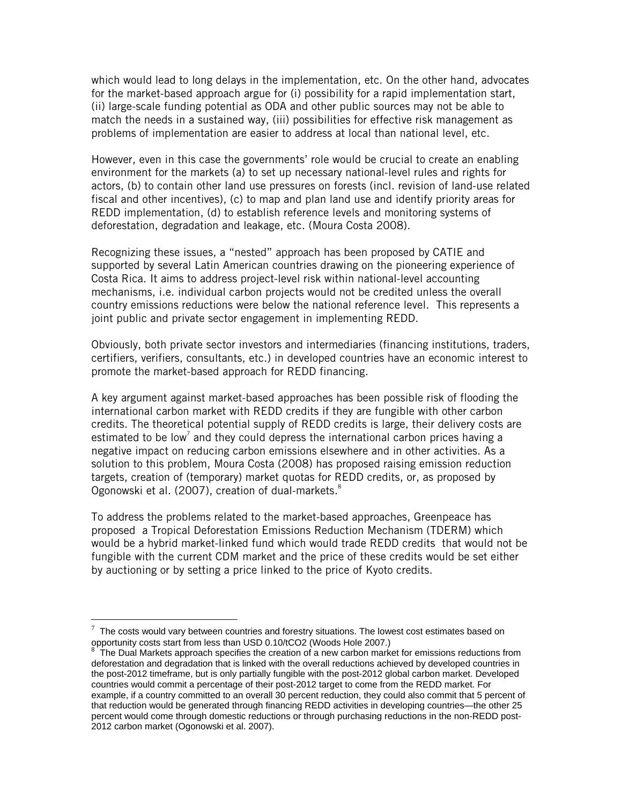which would lead to long delays in the implementation, etc. On the other hand, advocates for the market-based approach argue for (i) possibility for a rapid implementation start, (ii) large-scale funding potential as ODA and other public sources may not be able to match the needs in a sustained way, (iii) possibilities for effective risk management as problems of implementation are easier to address at local than national level, etc.

However, even in this case the governments' role would be crucial to create an enabling environment for the markets (a) to set up necessary national-level rules and rights for actors, (b) to contain other land use pressures on forests (incl. revision of land-use related fiscal and other incentives), (c) to map and plan land use and identify priority areas for REDD implementation, (d) to establish reference levels and monitoring systems of deforestation, degradation and leakage, etc. (Moura Costa 2008).

Recognizing these issues, a "nested" approach has been proposed by CATIE and supported by several Latin American countries drawing on the pioneering experience of Costa Rica. It aims to address project-level risk within national-level accounting mechanisms, i.e. individual carbon projects would not be credited unless the overall country emissions reductions were below the national reference level. This represents a joint public and private sector engagement in implementing REDD.

Obviously, both private sector investors and intermediaries (financing institutions, traders, certifiers, verifiers, consultants, etc.) in developed countries have an economic interest to promote the market-based approach for REDD financing.

A key argument against market-based approaches has been possible risk of flooding the international carbon market with REDD credits if they are fungible with other carbon credits. The theoretical potential supply of REDD credits is large, their delivery costs are estimated to be low<sup>7</sup> and they could depress the international carbon prices having a negative impact on reducing carbon emissions elsewhere and in other activities. As a solution to this problem, Moura Costa (2008) has proposed raising emission reduction targets, creation of (temporary) market quotas for REDD credits, or, as proposed by Ogonowski et al. (2007), creation of dual-markets.<sup>8</sup>

To address the problems related to the market-based approaches, Greenpeace has proposed a Tropical Deforestation Emissions Reduction Mechanism (TDERM) which would be a hybrid market-linked fund which would trade REDD credits that would not be fungible with the current CDM market and the price of these credits would be set either by auctioning or by setting a price linked to the price of Kyoto credits.

 $\overline{a}$ 

 $7$  The costs would vary between countries and forestry situations. The lowest cost estimates based on opportunity costs start from less than USD 0.10/tCO2 (Woods Hole 2007.)<br><sup>8</sup> The Dual Markets approach aposition the creation of a new earbon market

The Dual Markets approach specifies the creation of a new carbon market for emissions reductions from deforestation and degradation that is linked with the overall reductions achieved by developed countries in the post-2012 timeframe, but is only partially fungible with the post-2012 global carbon market. Developed countries would commit a percentage of their post-2012 target to come from the REDD market. For example, if a country committed to an overall 30 percent reduction, they could also commit that 5 percent of that reduction would be generated through financing REDD activities in developing countries—the other 25 percent would come through domestic reductions or through purchasing reductions in the non-REDD post-2012 carbon market (Ogonowski et al. 2007).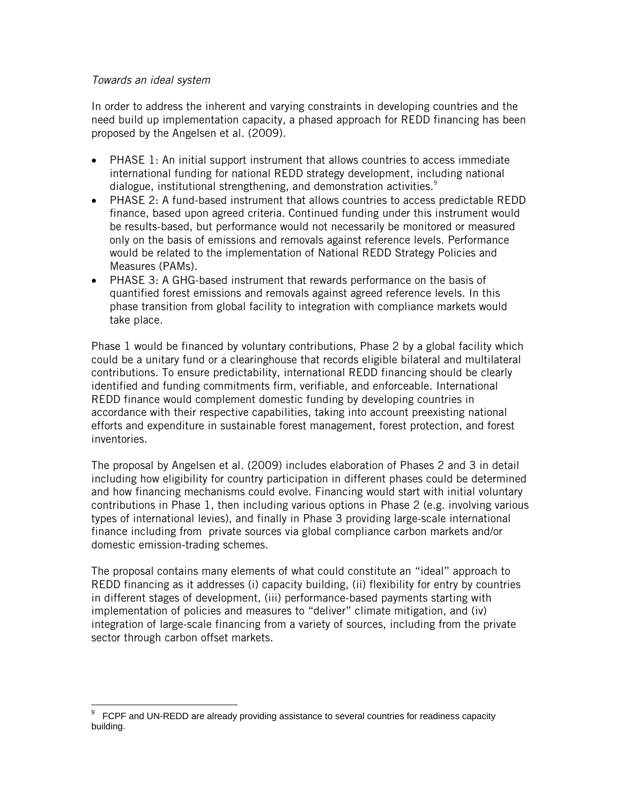## *Towards an ideal system*

In order to address the inherent and varying constraints in developing countries and the need build up implementation capacity, a phased approach for REDD financing has been proposed by the Angelsen et al. (2009).

- PHASE 1: An initial support instrument that allows countries to access immediate international funding for national REDD strategy development, including national dialogue, institutional strengthening, and demonstration activities.<sup>9</sup>
- PHASE 2: A fund-based instrument that allows countries to access predictable REDD finance, based upon agreed criteria. Continued funding under this instrument would be results-based, but performance would not necessarily be monitored or measured only on the basis of emissions and removals against reference levels. Performance would be related to the implementation of National REDD Strategy Policies and Measures (PAMs).
- PHASE 3: A GHG-based instrument that rewards performance on the basis of quantified forest emissions and removals against agreed reference levels. In this phase transition from global facility to integration with compliance markets would take place.

Phase 1 would be financed by voluntary contributions, Phase 2 by a global facility which could be a unitary fund or a clearinghouse that records eligible bilateral and multilateral contributions. To ensure predictability, international REDD financing should be clearly identified and funding commitments firm, verifiable, and enforceable. International REDD finance would complement domestic funding by developing countries in accordance with their respective capabilities, taking into account preexisting national efforts and expenditure in sustainable forest management, forest protection, and forest inventories.

The proposal by Angelsen et al. (2009) includes elaboration of Phases 2 and 3 in detail including how eligibility for country participation in different phases could be determined and how financing mechanisms could evolve. Financing would start with initial voluntary contributions in Phase 1, then including various options in Phase 2 (e.g. involving various types of international levies), and finally in Phase 3 providing large-scale international finance including from private sources via global compliance carbon markets and/or domestic emission-trading schemes.

The proposal contains many elements of what could constitute an "ideal" approach to REDD financing as it addresses (i) capacity building, (ii) flexibility for entry by countries in different stages of development, (iii) performance-based payments starting with implementation of policies and measures to "deliver" climate mitigation, and (iv) integration of large-scale financing from a variety of sources, including from the private sector through carbon offset markets.

 $\overline{a}$ 9 FCPF and UN-REDD are already providing assistance to several countries for readiness capacity building.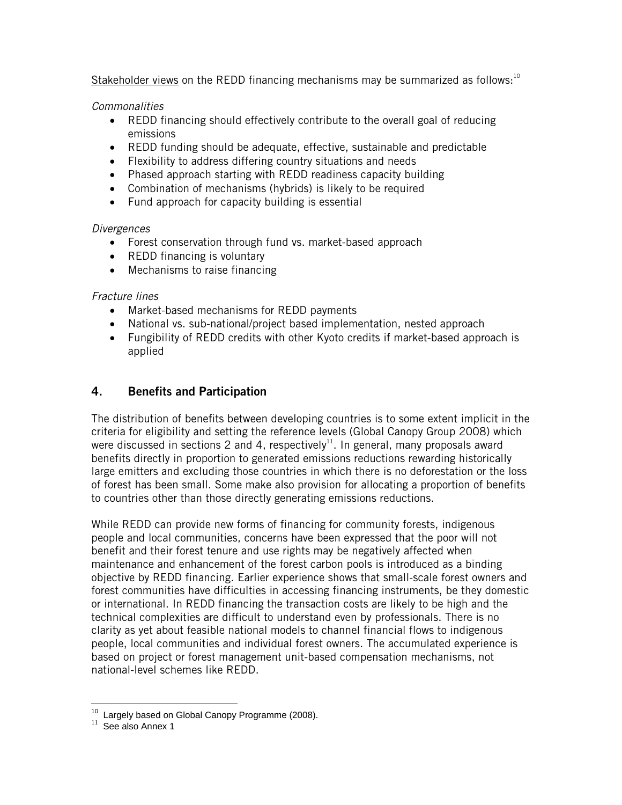Stakeholder views on the REDD financing mechanisms may be summarized as follows: $10$ 

*Commonalities* 

- REDD financing should effectively contribute to the overall goal of reducing emissions
- REDD funding should be adequate, effective, sustainable and predictable
- Flexibility to address differing country situations and needs
- Phased approach starting with REDD readiness capacity building
- Combination of mechanisms (hybrids) is likely to be required
- Fund approach for capacity building is essential

# *Divergences*

- Forest conservation through fund vs. market-based approach
- REDD financing is voluntary
- Mechanisms to raise financing

# *Fracture lines*

- Market-based mechanisms for REDD payments
- National vs. sub-national/project based implementation, nested approach
- Fungibility of REDD credits with other Kyoto credits if market-based approach is applied

# **4. Benefits and Participation**

The distribution of benefits between developing countries is to some extent implicit in the criteria for eligibility and setting the reference levels (Global Canopy Group 2008) which were discussed in sections 2 and 4, respectively<sup>11</sup>. In general, many proposals award benefits directly in proportion to generated emissions reductions rewarding historically large emitters and excluding those countries in which there is no deforestation or the loss of forest has been small. Some make also provision for allocating a proportion of benefits to countries other than those directly generating emissions reductions.

While REDD can provide new forms of financing for community forests, indigenous people and local communities, concerns have been expressed that the poor will not benefit and their forest tenure and use rights may be negatively affected when maintenance and enhancement of the forest carbon pools is introduced as a binding objective by REDD financing. Earlier experience shows that small-scale forest owners and forest communities have difficulties in accessing financing instruments, be they domestic or international. In REDD financing the transaction costs are likely to be high and the technical complexities are difficult to understand even by professionals. There is no clarity as yet about feasible national models to channel financial flows to indigenous people, local communities and individual forest owners. The accumulated experience is based on project or forest management unit-based compensation mechanisms, not national-level schemes like REDD.

 $\overline{a}$  $^{10}$  Largely based on Global Canopy Programme (2008).<br> $^{11}$  See also Annex 1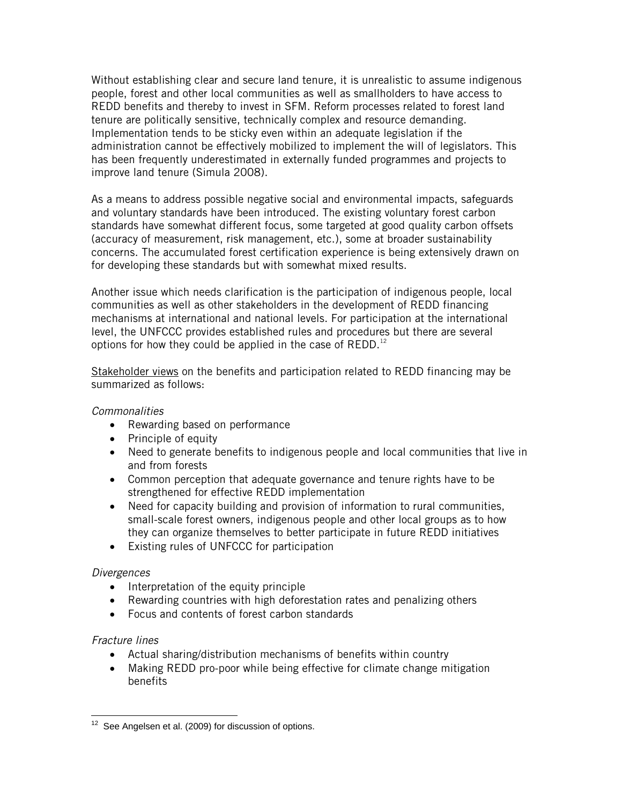Without establishing clear and secure land tenure, it is unrealistic to assume indigenous people, forest and other local communities as well as smallholders to have access to REDD benefits and thereby to invest in SFM. Reform processes related to forest land tenure are politically sensitive, technically complex and resource demanding. Implementation tends to be sticky even within an adequate legislation if the administration cannot be effectively mobilized to implement the will of legislators. This has been frequently underestimated in externally funded programmes and projects to improve land tenure (Simula 2008).

As a means to address possible negative social and environmental impacts, safeguards and voluntary standards have been introduced. The existing voluntary forest carbon standards have somewhat different focus, some targeted at good quality carbon offsets (accuracy of measurement, risk management, etc.), some at broader sustainability concerns. The accumulated forest certification experience is being extensively drawn on for developing these standards but with somewhat mixed results.

Another issue which needs clarification is the participation of indigenous people, local communities as well as other stakeholders in the development of REDD financing mechanisms at international and national levels. For participation at the international level, the UNFCCC provides established rules and procedures but there are several options for how they could be applied in the case of  $REDD<sup>12</sup>$ 

Stakeholder views on the benefits and participation related to REDD financing may be summarized as follows:

## *Commonalities*

- Rewarding based on performance
- Principle of equity
- Need to generate benefits to indigenous people and local communities that live in and from forests
- Common perception that adequate governance and tenure rights have to be strengthened for effective REDD implementation
- Need for capacity building and provision of information to rural communities, small-scale forest owners, indigenous people and other local groups as to how they can organize themselves to better participate in future REDD initiatives
- Existing rules of UNFCCC for participation

## *Divergences*

- Interpretation of the equity principle
- Rewarding countries with high deforestation rates and penalizing others
- Focus and contents of forest carbon standards

## *Fracture lines*

- Actual sharing/distribution mechanisms of benefits within country
- Making REDD pro-poor while being effective for climate change mitigation benefits

 $\overline{a}$ See Angelsen et al. (2009) for discussion of options.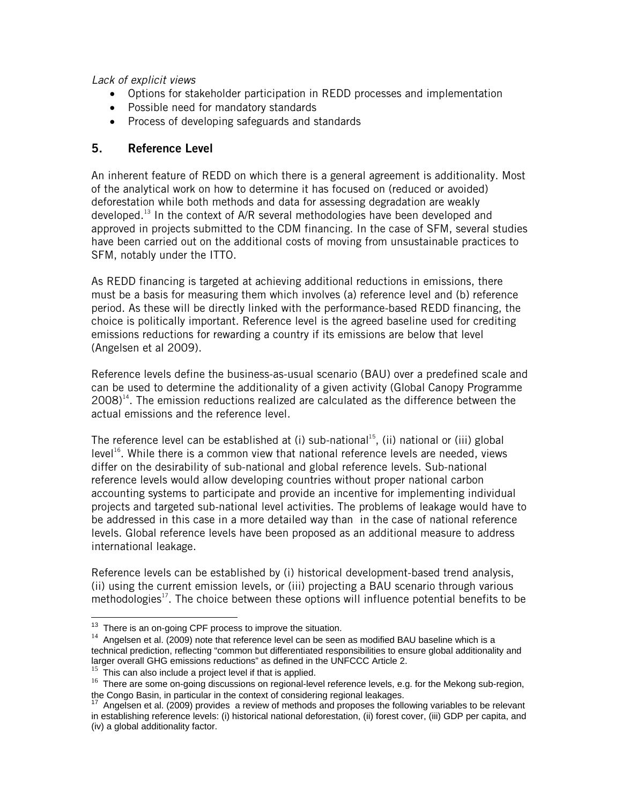*Lack of explicit views* 

- Options for stakeholder participation in REDD processes and implementation
- Possible need for mandatory standards
- Process of developing safeguards and standards

# **5. Reference Level**

An inherent feature of REDD on which there is a general agreement is additionality. Most of the analytical work on how to determine it has focused on (reduced or avoided) deforestation while both methods and data for assessing degradation are weakly developed.<sup>13</sup> In the context of A/R several methodologies have been developed and approved in projects submitted to the CDM financing. In the case of SFM, several studies have been carried out on the additional costs of moving from unsustainable practices to SFM, notably under the ITTO.

As REDD financing is targeted at achieving additional reductions in emissions, there must be a basis for measuring them which involves (a) reference level and (b) reference period. As these will be directly linked with the performance-based REDD financing, the choice is politically important. Reference level is the agreed baseline used for crediting emissions reductions for rewarding a country if its emissions are below that level (Angelsen et al 2009).

Reference levels define the business-as-usual scenario (BAU) over a predefined scale and can be used to determine the additionality of a given activity (Global Canopy Programme  $2008$ <sup>14</sup>. The emission reductions realized are calculated as the difference between the actual emissions and the reference level.

The reference level can be established at (i) sub-national<sup>15</sup>, (ii) national or (iii) global level<sup>16</sup>. While there is a common view that national reference levels are needed, views differ on the desirability of sub-national and global reference levels. Sub-national reference levels would allow developing countries without proper national carbon accounting systems to participate and provide an incentive for implementing individual projects and targeted sub-national level activities. The problems of leakage would have to be addressed in this case in a more detailed way than in the case of national reference levels. Global reference levels have been proposed as an additional measure to address international leakage.

Reference levels can be established by (i) historical development-based trend analysis, (ii) using the current emission levels, or (iii) projecting a BAU scenario through various methodologies $17$ . The choice between these options will influence potential benefits to be

<sup>&</sup>lt;sup>13</sup> There is an on-going CPF process to improve the situation.

 $14$  Angelsen et al. (2009) note that reference level can be seen as modified BAU baseline which is a technical prediction, reflecting "common but differentiated responsibilities to ensure global additionality and larger overall GHG emissions reductions" as defined in the UNFCCC Article 2.<br><sup>15</sup> This can also include a project level if that is applied.

 $16$  There are some on-going discussions on regional-level reference levels, e.g. for the Mekong sub-region, the Congo Basin, in particular in the context of considering regional leakages.<br><sup>17</sup> Angelsen et al. (2009) provides a review of methods and proposes the following variables to be relevant

in establishing reference levels: (i) historical national deforestation, (ii) forest cover, (iii) GDP per capita, and (iv) a global additionality factor.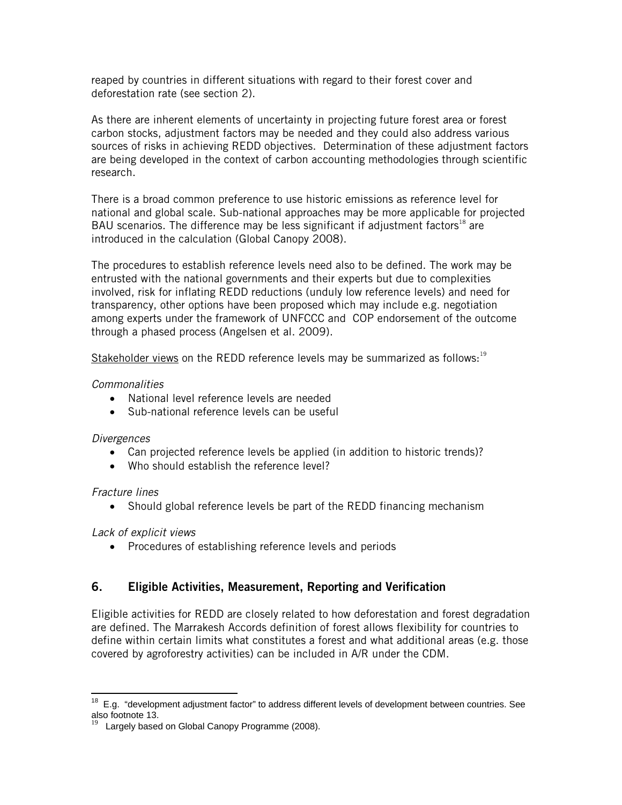reaped by countries in different situations with regard to their forest cover and deforestation rate (see section 2).

As there are inherent elements of uncertainty in projecting future forest area or forest carbon stocks, adjustment factors may be needed and they could also address various sources of risks in achieving REDD objectives. Determination of these adjustment factors are being developed in the context of carbon accounting methodologies through scientific research.

There is a broad common preference to use historic emissions as reference level for national and global scale. Sub-national approaches may be more applicable for projected BAU scenarios. The difference may be less significant if adjustment factors<sup>18</sup> are introduced in the calculation (Global Canopy 2008).

The procedures to establish reference levels need also to be defined. The work may be entrusted with the national governments and their experts but due to complexities involved, risk for inflating REDD reductions (unduly low reference levels) and need for transparency, other options have been proposed which may include e.g. negotiation among experts under the framework of UNFCCC and COP endorsement of the outcome through a phased process (Angelsen et al. 2009).

Stakeholder views on the REDD reference levels may be summarized as follows:<sup>19</sup>

## *Commonalities*

- National level reference levels are needed
- Sub-national reference levels can be useful

## *Divergences*

- Can projected reference levels be applied (in addition to historic trends)?
- Who should establish the reference level?

## *Fracture lines*

• Should global reference levels be part of the REDD financing mechanism

# *Lack of explicit views*

• Procedures of establishing reference levels and periods

# **6. Eligible Activities, Measurement, Reporting and Verification**

Eligible activities for REDD are closely related to how deforestation and forest degradation are defined. The Marrakesh Accords definition of forest allows flexibility for countries to define within certain limits what constitutes a forest and what additional areas (e.g. those covered by agroforestry activities) can be included in A/R under the CDM.

 $\overline{a}$  $18$  E.g. "development adjustment factor" to address different levels of development between countries. See also footnote 13.

 $19$  Largely based on Global Canopy Programme (2008).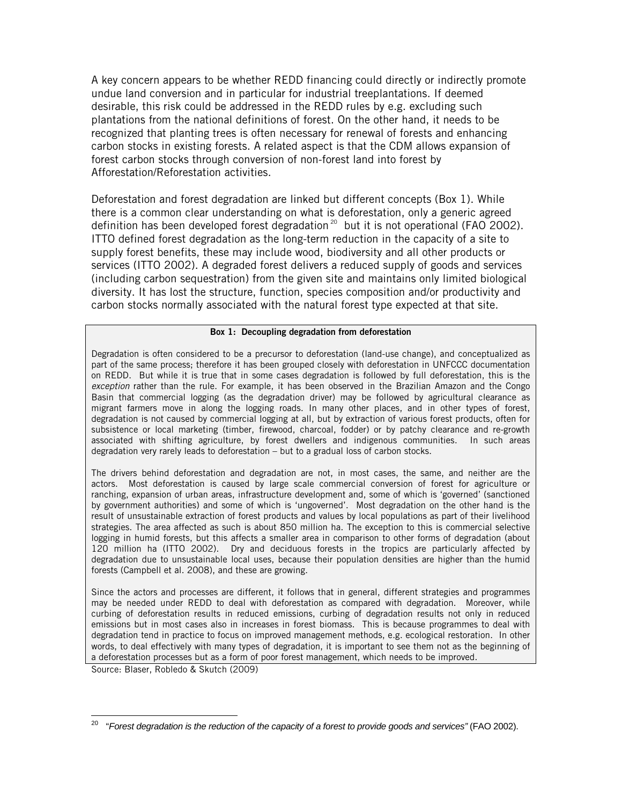A key concern appears to be whether REDD financing could directly or indirectly promote undue land conversion and in particular for industrial treeplantations. If deemed desirable, this risk could be addressed in the REDD rules by e.g. excluding such plantations from the national definitions of forest. On the other hand, it needs to be recognized that planting trees is often necessary for renewal of forests and enhancing carbon stocks in existing forests. A related aspect is that the CDM allows expansion of forest carbon stocks through conversion of non-forest land into forest by Afforestation/Reforestation activities.

Deforestation and forest degradation are linked but different concepts (Box 1). While there is a common clear understanding on what is deforestation, only a generic agreed definition has been developed forest degradation<sup>20</sup> but it is not operational (FAO 2002). ITTO defined forest degradation as the long-term reduction in the capacity of a site to supply forest benefits, these may include wood, biodiversity and all other products or services (ITTO 2002). A degraded forest delivers a reduced supply of goods and services (including carbon sequestration) from the given site and maintains only limited biological diversity. It has lost the structure, function, species composition and/or productivity and carbon stocks normally associated with the natural forest type expected at that site.

### **Box 1: Decoupling degradation from deforestation**

Degradation is often considered to be a precursor to deforestation (land-use change), and conceptualized as part of the same process; therefore it has been grouped closely with deforestation in UNFCCC documentation on REDD. But while it is true that in some cases degradation is followed by full deforestation, this is the *exception* rather than the rule. For example, it has been observed in the Brazilian Amazon and the Congo Basin that commercial logging (as the degradation driver) may be followed by agricultural clearance as migrant farmers move in along the logging roads. In many other places, and in other types of forest, degradation is not caused by commercial logging at all, but by extraction of various forest products, often for subsistence or local marketing (timber, firewood, charcoal, fodder) or by patchy clearance and re-growth associated with shifting agriculture, by forest dwellers and indigenous communities. In such areas degradation very rarely leads to deforestation – but to a gradual loss of carbon stocks.

The drivers behind deforestation and degradation are not, in most cases, the same, and neither are the actors. Most deforestation is caused by large scale commercial conversion of forest for agriculture or ranching, expansion of urban areas, infrastructure development and, some of which is 'governed' (sanctioned by government authorities) and some of which is 'ungoverned'. Most degradation on the other hand is the result of unsustainable extraction of forest products and values by local populations as part of their livelihood strategies. The area affected as such is about 850 million ha. The exception to this is commercial selective logging in humid forests, but this affects a smaller area in comparison to other forms of degradation (about 120 million ha (ITTO 2002). Dry and deciduous forests in the tropics are particularly affected by degradation due to unsustainable local uses, because their population densities are higher than the humid forests (Campbell et al. 2008), and these are growing.

Since the actors and processes are different, it follows that in general, different strategies and programmes may be needed under REDD to deal with deforestation as compared with degradation. Moreover, while curbing of deforestation results in reduced emissions, curbing of degradation results not only in reduced emissions but in most cases also in increases in forest biomass. This is because programmes to deal with degradation tend in practice to focus on improved management methods, e.g. ecological restoration. In other words, to deal effectively with many types of degradation, it is important to see them not as the beginning of a deforestation processes but as a form of poor forest management, which needs to be improved.

Source: Blaser, Robledo & Skutch (2009)

 $\overline{a}$ <sup>20</sup> "Forest degradation is the reduction of the capacity of a forest to provide goods and services" (FAO 2002).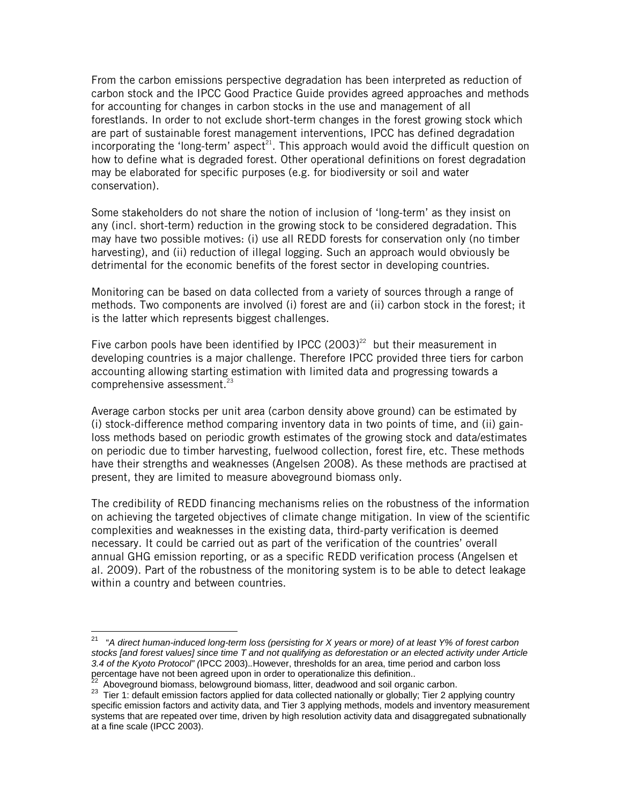From the carbon emissions perspective degradation has been interpreted as reduction of carbon stock and the IPCC Good Practice Guide provides agreed approaches and methods for accounting for changes in carbon stocks in the use and management of all forestlands. In order to not exclude short-term changes in the forest growing stock which are part of sustainable forest management interventions, IPCC has defined degradation incorporating the 'long-term' aspect<sup>21</sup>. This approach would avoid the difficult question on how to define what is degraded forest. Other operational definitions on forest degradation may be elaborated for specific purposes (e.g. for biodiversity or soil and water conservation).

Some stakeholders do not share the notion of inclusion of 'long-term' as they insist on any (incl. short-term) reduction in the growing stock to be considered degradation. This may have two possible motives: (i) use all REDD forests for conservation only (no timber harvesting), and (ii) reduction of illegal logging. Such an approach would obviously be detrimental for the economic benefits of the forest sector in developing countries.

Monitoring can be based on data collected from a variety of sources through a range of methods. Two components are involved (i) forest are and (ii) carbon stock in the forest; it is the latter which represents biggest challenges.

Five carbon pools have been identified by IPCC (2003)<sup>22</sup> but their measurement in developing countries is a major challenge. Therefore IPCC provided three tiers for carbon accounting allowing starting estimation with limited data and progressing towards a comprehensive assessment.<sup>23</sup>

Average carbon stocks per unit area (carbon density above ground) can be estimated by (i) stock-difference method comparing inventory data in two points of time, and (ii) gainloss methods based on periodic growth estimates of the growing stock and data/estimates on periodic due to timber harvesting, fuelwood collection, forest fire, etc. These methods have their strengths and weaknesses (Angelsen 2008). As these methods are practised at present, they are limited to measure aboveground biomass only.

The credibility of REDD financing mechanisms relies on the robustness of the information on achieving the targeted objectives of climate change mitigation. In view of the scientific complexities and weaknesses in the existing data, third-party verification is deemed necessary. It could be carried out as part of the verification of the countries' overall annual GHG emission reporting, or as a specific REDD verification process (Angelsen et al. 2009). Part of the robustness of the monitoring system is to be able to detect leakage within a country and between countries.

 $\overline{a}$ 

<sup>21 &</sup>quot;*A direct human-induced long-term loss (persisting for X years or more) of at least Y% of forest carbon stocks [and forest values] since time T and not qualifying as deforestation or an elected activity under Article 3.4 of the Kyoto Protocol" (*IPCC 2003).*.*However, thresholds for an area, time period and carbon loss percentage have not been agreed upon in order to operationalize this definition..<br><sup>22</sup> Aboveground biomass, belowground biomass, litter, deadwood and soil organic carbon.

<sup>23</sup> Tier 1: default emission factors applied for data collected nationally or globally; Tier 2 applying country specific emission factors and activity data, and Tier 3 applying methods, models and inventory measurement systems that are repeated over time, driven by high resolution activity data and disaggregated subnationally at a fine scale (IPCC 2003).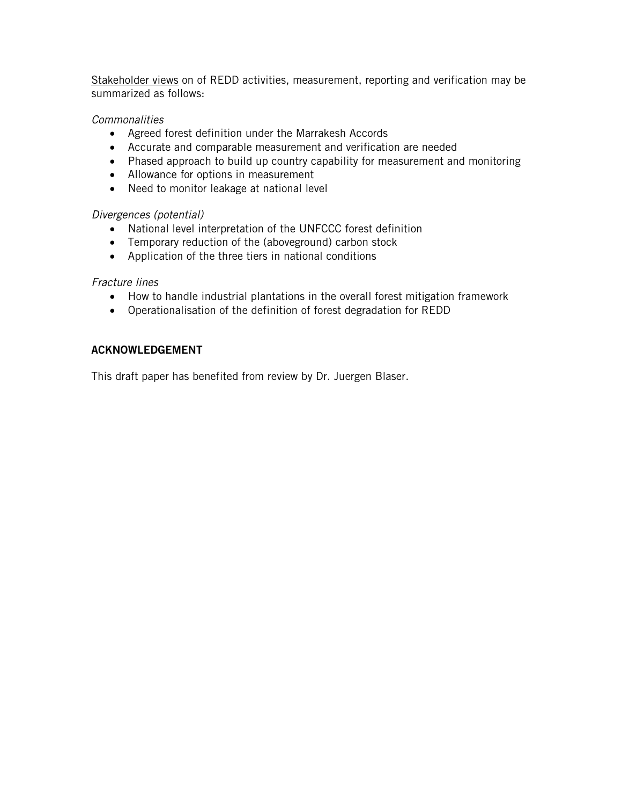Stakeholder views on of REDD activities, measurement, reporting and verification may be summarized as follows:

## *Commonalities*

- Agreed forest definition under the Marrakesh Accords
- Accurate and comparable measurement and verification are needed
- Phased approach to build up country capability for measurement and monitoring
- Allowance for options in measurement
- Need to monitor leakage at national level

## *Divergences (potential)*

- National level interpretation of the UNFCCC forest definition
- Temporary reduction of the (aboveground) carbon stock
- Application of the three tiers in national conditions

# *Fracture lines*

- How to handle industrial plantations in the overall forest mitigation framework
- Operationalisation of the definition of forest degradation for REDD

# **ACKNOWLEDGEMENT**

This draft paper has benefited from review by Dr. Juergen Blaser.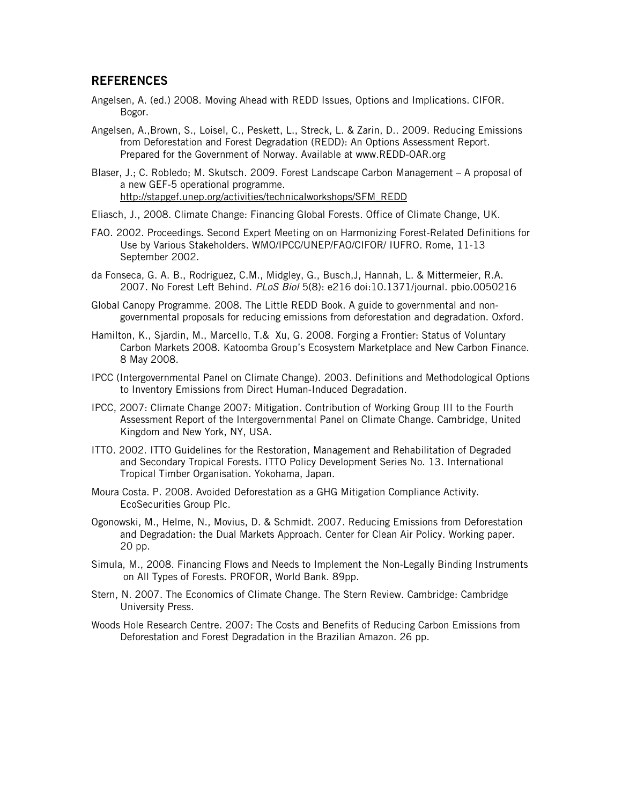## **REFERENCES**

- Angelsen, A. (ed.) 2008. Moving Ahead with REDD Issues, Options and Implications. CIFOR. Bogor.
- Angelsen, A.,Brown, S., Loisel, C., Peskett, L., Streck, L. & Zarin, D.. 2009. Reducing Emissions from Deforestation and Forest Degradation (REDD): An Options Assessment Report. Prepared for the Government of Norway. Available at www.REDD-OAR.org

Blaser, J.; C. Robledo; M. Skutsch. 2009. Forest Landscape Carbon Management – A proposal of a new GEF-5 operational programme. http://stapgef.unep.org/activities/technicalworkshops/SFM\_REDD

- Eliasch, J., 2008. Climate Change: Financing Global Forests. Office of Climate Change, UK.
- FAO. 2002. Proceedings. Second Expert Meeting on on Harmonizing Forest-Related Definitions for Use by Various Stakeholders. WMO/IPCC/UNEP/FAO/CIFOR/ IUFRO. Rome, 11-13 September 2002.
- da Fonseca, G. A. B., Rodriguez, C.M., Midgley, G., Busch,J, Hannah, L. & Mittermeier, R.A. 2007. No Forest Left Behind. *PLoS Biol* 5(8): e216 doi:10.1371/journal. pbio.0050216
- Global Canopy Programme. 2008. The Little REDD Book. A guide to governmental and nongovernmental proposals for reducing emissions from deforestation and degradation. Oxford.
- Hamilton, K., Sjardin, M., Marcello, T.& Xu, G. 2008. Forging a Frontier: Status of Voluntary Carbon Markets 2008. Katoomba Group's Ecosystem Marketplace and New Carbon Finance. 8 May 2008.
- IPCC (Intergovernmental Panel on Climate Change). 2003. Definitions and Methodological Options to Inventory Emissions from Direct Human-Induced Degradation.
- IPCC, 2007: Climate Change 2007: Mitigation. Contribution of Working Group III to the Fourth Assessment Report of the Intergovernmental Panel on Climate Change. Cambridge, United Kingdom and New York, NY, USA.
- ITTO. 2002. ITTO Guidelines for the Restoration, Management and Rehabilitation of Degraded and Secondary Tropical Forests. ITTO Policy Development Series No. 13. International Tropical Timber Organisation. Yokohama, Japan.
- Moura Costa. P. 2008. Avoided Deforestation as a GHG Mitigation Compliance Activity. EcoSecurities Group Plc.
- Ogonowski, M., Helme, N., Movius, D. & Schmidt. 2007. Reducing Emissions from Deforestation and Degradation: the Dual Markets Approach. Center for Clean Air Policy. Working paper. 20 pp.
- Simula, M., 2008. Financing Flows and Needs to Implement the Non-Legally Binding Instruments on All Types of Forests. PROFOR, World Bank. 89pp.
- Stern, N. 2007. The Economics of Climate Change. The Stern Review. Cambridge: Cambridge University Press.
- Woods Hole Research Centre. 2007: The Costs and Benefits of Reducing Carbon Emissions from Deforestation and Forest Degradation in the Brazilian Amazon. 26 pp.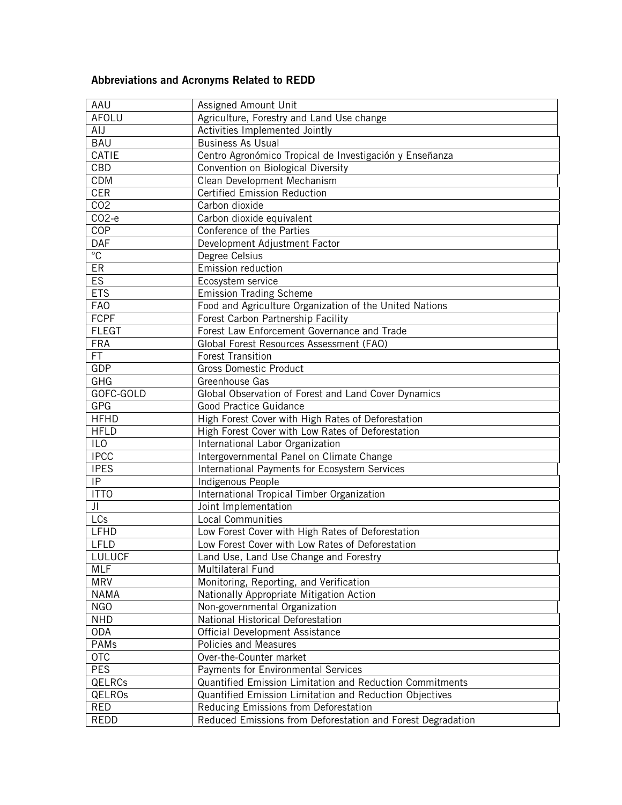# **Abbreviations and Acronyms Related to REDD**

| AAU             | Assigned Amount Unit                                                                                 |  |  |
|-----------------|------------------------------------------------------------------------------------------------------|--|--|
| AFOLU           | Agriculture, Forestry and Land Use change                                                            |  |  |
| AIJ             | Activities Implemented Jointly                                                                       |  |  |
| <b>BAU</b>      | <b>Business As Usual</b>                                                                             |  |  |
| <b>CATIE</b>    | Centro Agronómico Tropical de Investigación y Enseñanza                                              |  |  |
| CBD             | Convention on Biological Diversity                                                                   |  |  |
| CDM             | Clean Development Mechanism                                                                          |  |  |
| <b>CER</b>      | <b>Certified Emission Reduction</b>                                                                  |  |  |
| CO <sub>2</sub> | Carbon dioxide                                                                                       |  |  |
| $CO2-e$         | Carbon dioxide equivalent                                                                            |  |  |
| COP             | Conference of the Parties                                                                            |  |  |
| DAF             | Development Adjustment Factor                                                                        |  |  |
| $\overline{C}$  | Degree Celsius                                                                                       |  |  |
| ER              | Emission reduction                                                                                   |  |  |
| ES              | Ecosystem service                                                                                    |  |  |
| <b>ETS</b>      | <b>Emission Trading Scheme</b>                                                                       |  |  |
| <b>FAO</b>      | Food and Agriculture Organization of the United Nations                                              |  |  |
| <b>FCPF</b>     | Forest Carbon Partnership Facility                                                                   |  |  |
| <b>FLEGT</b>    | Forest Law Enforcement Governance and Trade                                                          |  |  |
| <b>FRA</b>      | Global Forest Resources Assessment (FAO)                                                             |  |  |
| FT.             | <b>Forest Transition</b>                                                                             |  |  |
| GDP             | <b>Gross Domestic Product</b>                                                                        |  |  |
| <b>GHG</b>      | Greenhouse Gas                                                                                       |  |  |
| GOFC-GOLD       | Global Observation of Forest and Land Cover Dynamics                                                 |  |  |
| GPG             | Good Practice Guidance                                                                               |  |  |
| <b>HFHD</b>     | High Forest Cover with High Rates of Deforestation                                                   |  |  |
| <b>HFLD</b>     | High Forest Cover with Low Rates of Deforestation                                                    |  |  |
| ILO             | International Labor Organization                                                                     |  |  |
| <b>IPCC</b>     | Intergovernmental Panel on Climate Change                                                            |  |  |
| <b>IPES</b>     | International Payments for Ecosystem Services                                                        |  |  |
| IP              | Indigenous People                                                                                    |  |  |
| <b>ITTO</b>     | International Tropical Timber Organization                                                           |  |  |
| JI              | Joint Implementation                                                                                 |  |  |
| LCs             | <b>Local Communities</b>                                                                             |  |  |
| LFHD            | Low Forest Cover with High Rates of Deforestation                                                    |  |  |
| LFLD            | Low Forest Cover with Low Rates of Deforestation                                                     |  |  |
| LULUCF          | Land Use, Land Use Change and Forestry                                                               |  |  |
| <b>MLF</b>      | Multilateral Fund                                                                                    |  |  |
| <b>MRV</b>      | Monitoring, Reporting, and Verification                                                              |  |  |
| <b>NAMA</b>     | Nationally Appropriate Mitigation Action                                                             |  |  |
| <b>NGO</b>      | Non-governmental Organization                                                                        |  |  |
| <b>NHD</b>      | National Historical Deforestation                                                                    |  |  |
| <b>ODA</b>      | Official Development Assistance                                                                      |  |  |
| PAMs<br>OTC     | Policies and Measures<br>Over-the-Counter market                                                     |  |  |
|                 |                                                                                                      |  |  |
| <b>PES</b>      | Payments for Environmental Services                                                                  |  |  |
| QELRCs          | Quantified Emission Limitation and Reduction Commitments                                             |  |  |
| QELROs<br>RED   | Quantified Emission Limitation and Reduction Objectives                                              |  |  |
| REDD            | Reducing Emissions from Deforestation<br>Reduced Emissions from Deforestation and Forest Degradation |  |  |
|                 |                                                                                                      |  |  |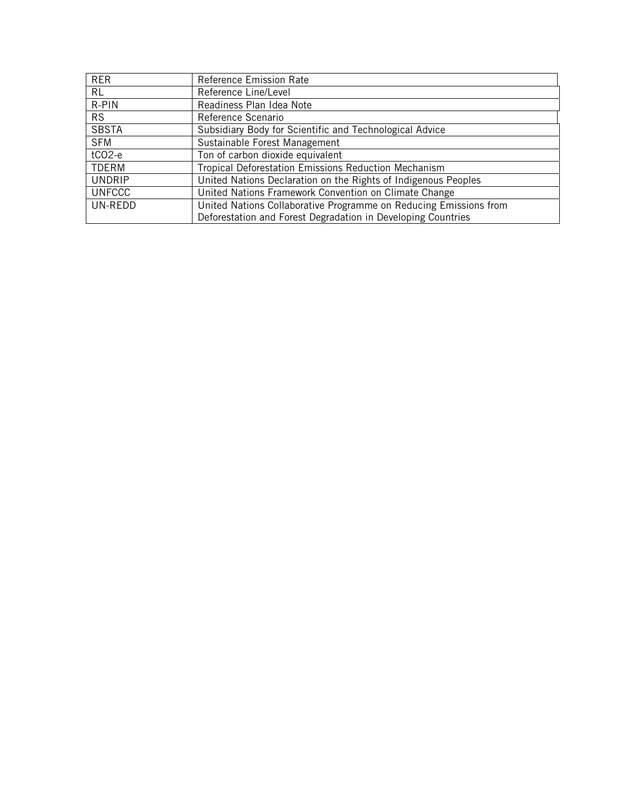| <b>RER</b>         | Reference Emission Rate                                           |  |
|--------------------|-------------------------------------------------------------------|--|
| <b>RL</b>          | Reference Line/Level                                              |  |
| R-PIN              | Readiness Plan Idea Note                                          |  |
| <b>RS</b>          | Reference Scenario                                                |  |
| <b>SBSTA</b>       | Subsidiary Body for Scientific and Technological Advice           |  |
| <b>SFM</b>         | Sustainable Forest Management                                     |  |
| tCO <sub>2-e</sub> | Ton of carbon dioxide equivalent                                  |  |
| <b>TDERM</b>       | Tropical Deforestation Emissions Reduction Mechanism              |  |
| <b>UNDRIP</b>      | United Nations Declaration on the Rights of Indigenous Peoples    |  |
| <b>UNFCCC</b>      | United Nations Framework Convention on Climate Change             |  |
| UN-REDD            | United Nations Collaborative Programme on Reducing Emissions from |  |
|                    | Deforestation and Forest Degradation in Developing Countries      |  |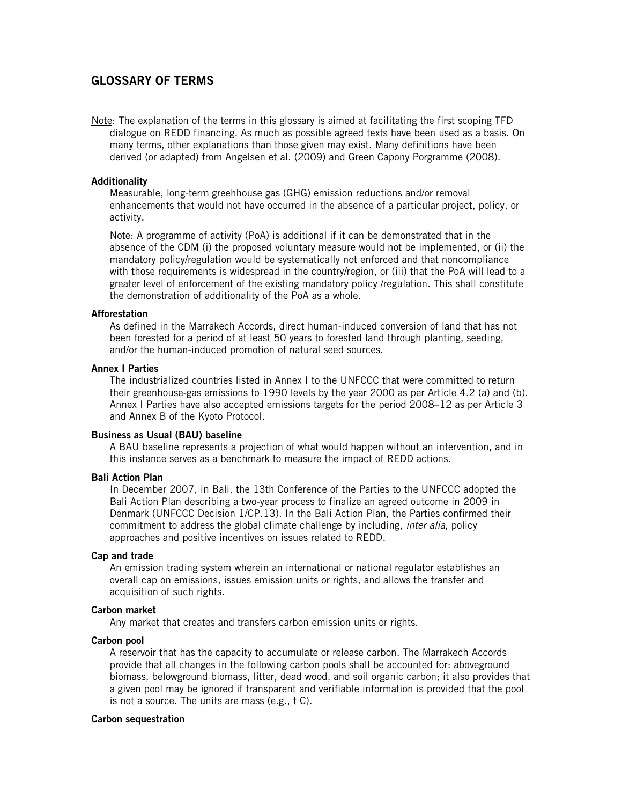## **GLOSSARY OF TERMS**

Note: The explanation of the terms in this glossary is aimed at facilitating the first scoping TFD dialogue on REDD financing. As much as possible agreed texts have been used as a basis. On many terms, other explanations than those given may exist. Many definitions have been derived (or adapted) from Angelsen et al. (2009) and Green Capony Porgramme (2008).

### **Additionality**

Measurable, long-term greehhouse gas (GHG) emission reductions and/or removal enhancements that would not have occurred in the absence of a particular project, policy, or activity.

Note: A programme of activity (PoA) is additional if it can be demonstrated that in the absence of the CDM (i) the proposed voluntary measure would not be implemented, or (ii) the mandatory policy/regulation would be systematically not enforced and that noncompliance with those requirements is widespread in the country/region, or (iii) that the PoA will lead to a greater level of enforcement of the existing mandatory policy /regulation. This shall constitute the demonstration of additionality of the PoA as a whole.

### **Afforestation**

As defined in the Marrakech Accords, direct human-induced conversion of land that has not been forested for a period of at least 50 years to forested land through planting, seeding, and/or the human-induced promotion of natural seed sources.

### **Annex I Parties**

The industrialized countries listed in Annex I to the UNFCCC that were committed to return their greenhouse-gas emissions to 1990 levels by the year 2000 as per Article 4.2 (a) and (b). Annex I Parties have also accepted emissions targets for the period 2008–12 as per Article 3 and Annex B of the Kyoto Protocol.

### **Business as Usual (BAU) baseline**

A BAU baseline represents a projection of what would happen without an intervention, and in this instance serves as a benchmark to measure the impact of REDD actions.

### **Bali Action Plan**

In December 2007, in Bali, the 13th Conference of the Parties to the UNFCCC adopted the Bali Action Plan describing a two-year process to finalize an agreed outcome in 2009 in Denmark (UNFCCC Decision 1/CP.13). In the Bali Action Plan, the Parties confirmed their commitment to address the global climate challenge by including, *inter alia*, policy approaches and positive incentives on issues related to REDD.

### **Cap and trade**

An emission trading system wherein an international or national regulator establishes an overall cap on emissions, issues emission units or rights, and allows the transfer and acquisition of such rights.

### **Carbon market**

Any market that creates and transfers carbon emission units or rights.

#### **Carbon pool**

A reservoir that has the capacity to accumulate or release carbon. The Marrakech Accords provide that all changes in the following carbon pools shall be accounted for: aboveground biomass, belowground biomass, litter, dead wood, and soil organic carbon; it also provides that a given pool may be ignored if transparent and verifiable information is provided that the pool is not a source. The units are mass (e.g., t C).

#### **Carbon sequestration**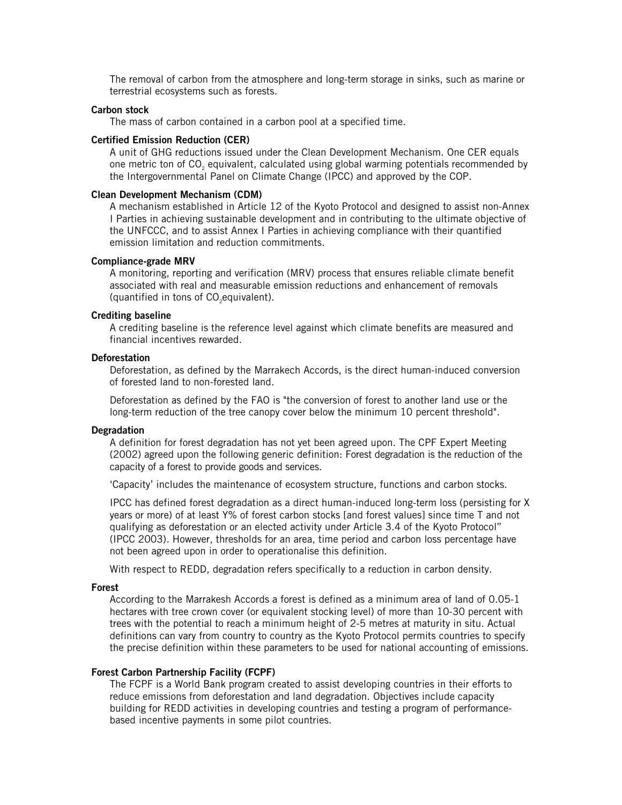The removal of carbon from the atmosphere and long-term storage in sinks, such as marine or terrestrial ecosystems such as forests.

#### **Carbon stock**

The mass of carbon contained in a carbon pool at a specified time.

### **Certified Emission Reduction (CER)**

A unit of GHG reductions issued under the Clean Development Mechanism. One CER equals one metric ton of CO2 equivalent, calculated using global warming potentials recommended by the Intergovernmental Panel on Climate Change (IPCC) and approved by the COP.

### **Clean Development Mechanism (CDM)**

A mechanism established in Article 12 of the Kyoto Protocol and designed to assist non-Annex I Parties in achieving sustainable development and in contributing to the ultimate objective of the UNFCCC, and to assist Annex I Parties in achieving compliance with their quantified emission limitation and reduction commitments.

#### **Compliance-grade MRV**

A monitoring, reporting and verification (MRV) process that ensures reliable climate benefit associated with real and measurable emission reductions and enhancement of removals (quantified in tons of CO<sub>2</sub>equivalent).

### **Crediting baseline**

A crediting baseline is the reference level against which climate benefits are measured and financial incentives rewarded.

### **Deforestation**

Deforestation, as defined by the Marrakech Accords, is the direct human-induced conversion of forested land to non-forested land.

Deforestation as defined by the FAO is "the conversion of forest to another land use or the long-term reduction of the tree canopy cover below the minimum 10 percent threshold".

### **Degradation**

A definition for forest degradation has not yet been agreed upon. The CPF Expert Meeting (2002) agreed upon the following generic definition: Forest degradation is the reduction of the capacity of a forest to provide goods and services.

'Capacity' includes the maintenance of ecosystem structure, functions and carbon stocks.

IPCC has defined forest degradation as a direct human-induced long-term loss (persisting for X years or more) of at least Y% of forest carbon stocks [and forest values] since time T and not qualifying as deforestation or an elected activity under Article 3.4 of the Kyoto Protocol" (IPCC 2003). However, thresholds for an area, time period and carbon loss percentage have not been agreed upon in order to operationalise this definition.

With respect to REDD, degradation refers specifically to a reduction in carbon density.

## **Forest**

According to the Marrakesh Accords a forest is defined as a minimum area of land of 0.05-1 hectares with tree crown cover (or equivalent stocking level) of more than 10-30 percent with trees with the potential to reach a minimum height of 2-5 metres at maturity in situ. Actual definitions can vary from country to country as the Kyoto Protocol permits countries to specify the precise definition within these parameters to be used for national accounting of emissions.

#### **Forest Carbon Partnership Facility (FCPF)**

The FCPF is a World Bank program created to assist developing countries in their efforts to reduce emissions from deforestation and land degradation. Objectives include capacity building for REDD activities in developing countries and testing a program of performancebased incentive payments in some pilot countries.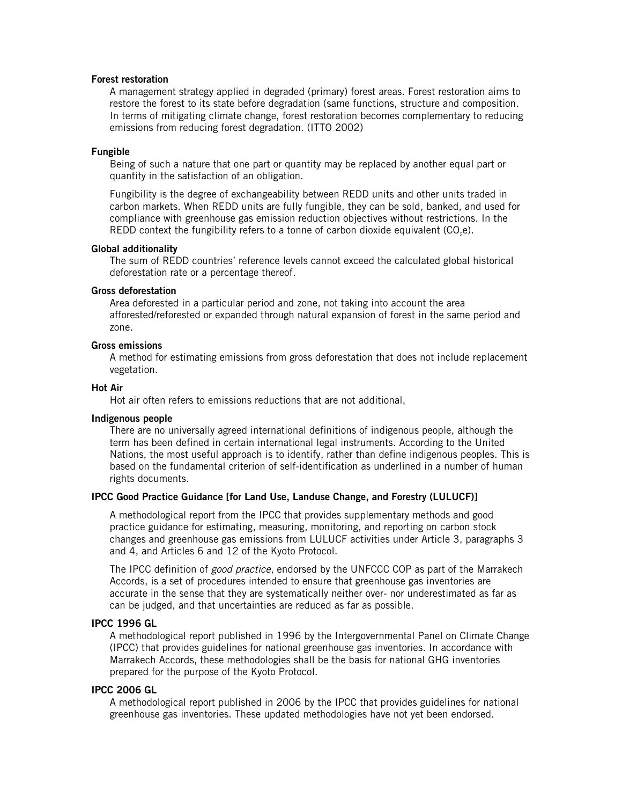### **Forest restoration**

 A management strategy applied in degraded (primary) forest areas. Forest restoration aims to restore the forest to its state before degradation (same functions, structure and composition. In terms of mitigating climate change, forest restoration becomes complementary to reducing emissions from reducing forest degradation. (ITTO 2002)

### **Fungible**

Being of such a nature that one part or quantity may be replaced by another equal part or quantity in the satisfaction of an obligation.

Fungibility is the degree of exchangeability between REDD units and other units traded in carbon markets. When REDD units are fully fungible, they can be sold, banked, and used for compliance with greenhouse gas emission reduction objectives without restrictions. In the REDD context the fungibility refers to a tonne of carbon dioxide equivalent  $(CO, e)$ .

#### **Global additionality**

The sum of REDD countries' reference levels cannot exceed the calculated global historical deforestation rate or a percentage thereof.

### **Gross deforestation**

Area deforested in a particular period and zone, not taking into account the area afforested/reforested or expanded through natural expansion of forest in the same period and zone.

### **Gross emissions**

A method for estimating emissions from gross deforestation that does not include replacement vegetation.

#### **Hot Air**

Hot air often refers to emissions reductions that are not additional.

### **Indigenous people**

There are no universally agreed international definitions of indigenous people, although the term has been defined in certain international legal instruments. According to the United Nations, the most useful approach is to identify, rather than define indigenous peoples. This is based on the fundamental criterion of self-identification as underlined in a number of human rights documents.

### **IPCC Good Practice Guidance [for Land Use, Landuse Change, and Forestry (LULUCF)]**

A methodological report from the IPCC that provides supplementary methods and good practice guidance for estimating, measuring, monitoring, and reporting on carbon stock changes and greenhouse gas emissions from LULUCF activities under Article 3, paragraphs 3 and 4, and Articles 6 and 12 of the Kyoto Protocol.

The IPCC definition of *good practice*, endorsed by the UNFCCC COP as part of the Marrakech Accords, is a set of procedures intended to ensure that greenhouse gas inventories are accurate in the sense that they are systematically neither over- nor underestimated as far as can be judged, and that uncertainties are reduced as far as possible.

### **IPCC 1996 GL**

A methodological report published in 1996 by the Intergovernmental Panel on Climate Change (IPCC) that provides guidelines for national greenhouse gas inventories. In accordance with Marrakech Accords, these methodologies shall be the basis for national GHG inventories prepared for the purpose of the Kyoto Protocol.

#### **IPCC 2006 GL**

A methodological report published in 2006 by the IPCC that provides guidelines for national greenhouse gas inventories. These updated methodologies have not yet been endorsed.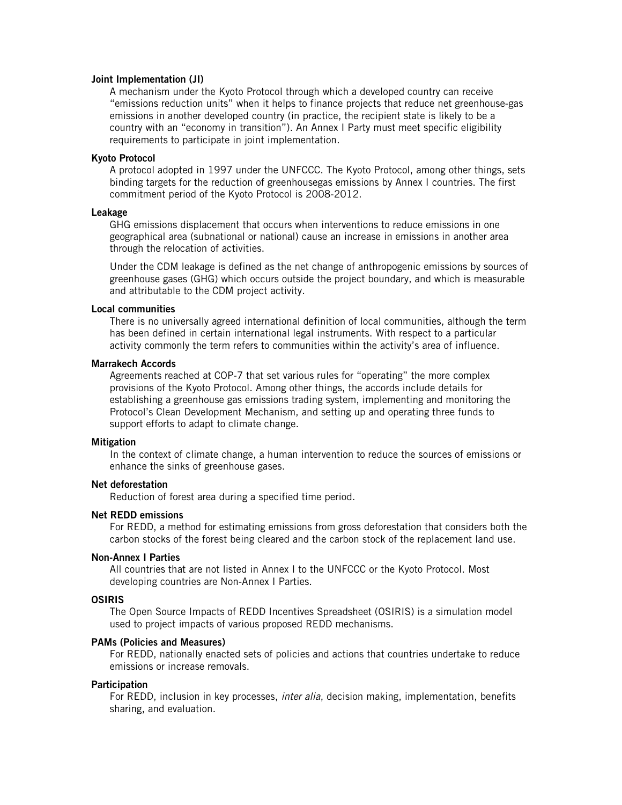### **Joint Implementation (JI)**

A mechanism under the Kyoto Protocol through which a developed country can receive "emissions reduction units" when it helps to finance projects that reduce net greenhouse-gas emissions in another developed country (in practice, the recipient state is likely to be a country with an "economy in transition"). An Annex I Party must meet specific eligibility requirements to participate in joint implementation.

### **Kyoto Protocol**

A protocol adopted in 1997 under the UNFCCC. The Kyoto Protocol, among other things, sets binding targets for the reduction of greenhousegas emissions by Annex I countries. The first commitment period of the Kyoto Protocol is 2008-2012.

#### **Leakage**

GHG emissions displacement that occurs when interventions to reduce emissions in one geographical area (subnational or national) cause an increase in emissions in another area through the relocation of activities.

Under the CDM leakage is defined as the net change of anthropogenic emissions by sources of greenhouse gases (GHG) which occurs outside the project boundary, and which is measurable and attributable to the CDM project activity.

#### **Local communities**

There is no universally agreed international definition of local communities, although the term has been defined in certain international legal instruments. With respect to a particular activity commonly the term refers to communities within the activity's area of influence.

#### **Marrakech Accords**

Agreements reached at COP-7 that set various rules for "operating" the more complex provisions of the Kyoto Protocol. Among other things, the accords include details for establishing a greenhouse gas emissions trading system, implementing and monitoring the Protocol's Clean Development Mechanism, and setting up and operating three funds to support efforts to adapt to climate change.

### **Mitigation**

In the context of climate change, a human intervention to reduce the sources of emissions or enhance the sinks of greenhouse gases.

#### **Net deforestation**

Reduction of forest area during a specified time period.

#### **Net REDD emissions**

For REDD, a method for estimating emissions from gross deforestation that considers both the carbon stocks of the forest being cleared and the carbon stock of the replacement land use.

#### **Non-Annex I Parties**

All countries that are not listed in Annex I to the UNFCCC or the Kyoto Protocol. Most developing countries are Non-Annex I Parties.

#### **OSIRIS**

The Open Source Impacts of REDD Incentives Spreadsheet (OSIRIS) is a simulation model used to project impacts of various proposed REDD mechanisms.

### **PAMs (Policies and Measures)**

For REDD, nationally enacted sets of policies and actions that countries undertake to reduce emissions or increase removals.

#### **Participation**

For REDD, inclusion in key processes, *inter alia*, decision making, implementation, benefits sharing, and evaluation.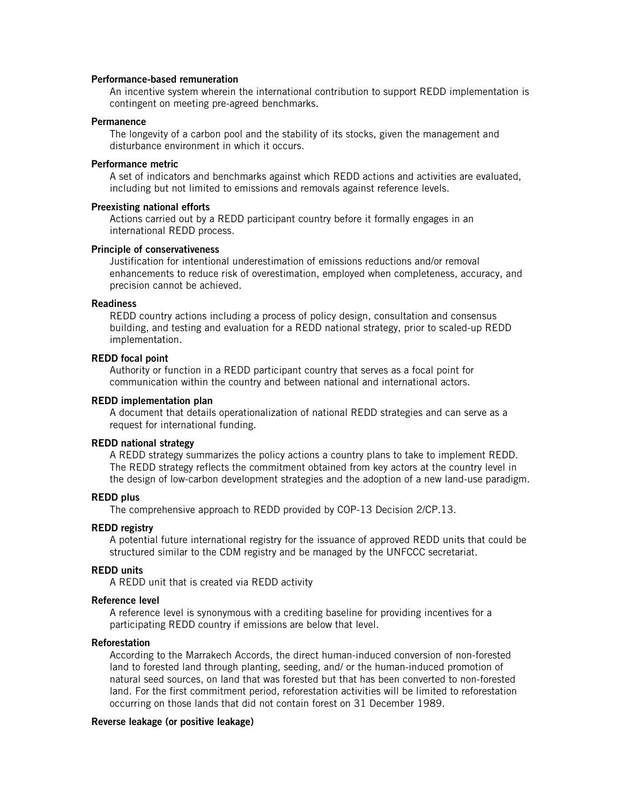## **Performance-based remuneration**

An incentive system wherein the international contribution to support REDD implementation is contingent on meeting pre-agreed benchmarks.

### **Permanence**

The longevity of a carbon pool and the stability of its stocks, given the management and disturbance environment in which it occurs.

#### **Performance metric**

A set of indicators and benchmarks against which REDD actions and activities are evaluated, including but not limited to emissions and removals against reference levels.

### **Preexisting national efforts**

Actions carried out by a REDD participant country before it formally engages in an international REDD process.

#### **Principle of conservativeness**

Justification for intentional underestimation of emissions reductions and/or removal enhancements to reduce risk of overestimation, employed when completeness, accuracy, and precision cannot be achieved.

#### **Readiness**

REDD country actions including a process of policy design, consultation and consensus building, and testing and evaluation for a REDD national strategy, prior to scaled-up REDD implementation.

### **REDD focal point**

Authority or function in a REDD participant country that serves as a focal point for communication within the country and between national and international actors.

#### **REDD implementation plan**

A document that details operationalization of national REDD strategies and can serve as a request for international funding.

### **REDD national strategy**

A REDD strategy summarizes the policy actions a country plans to take to implement REDD. The REDD strategy reflects the commitment obtained from key actors at the country level in the design of low-carbon development strategies and the adoption of a new land-use paradigm.

#### **REDD plus**

The comprehensive approach to REDD provided by COP-13 Decision 2/CP.13.

#### **REDD registry**

A potential future international registry for the issuance of approved REDD units that could be structured similar to the CDM registry and be managed by the UNFCCC secretariat.

## **REDD units**

A REDD unit that is created via REDD activity

#### **Reference level**

A reference level is synonymous with a crediting baseline for providing incentives for a participating REDD country if emissions are below that level.

### **Reforestation**

According to the Marrakech Accords, the direct human-induced conversion of non-forested land to forested land through planting, seeding, and/ or the human-induced promotion of natural seed sources, on land that was forested but that has been converted to non-forested land. For the first commitment period, reforestation activities will be limited to reforestation occurring on those lands that did not contain forest on 31 December 1989.

#### **Reverse leakage (or positive leakage)**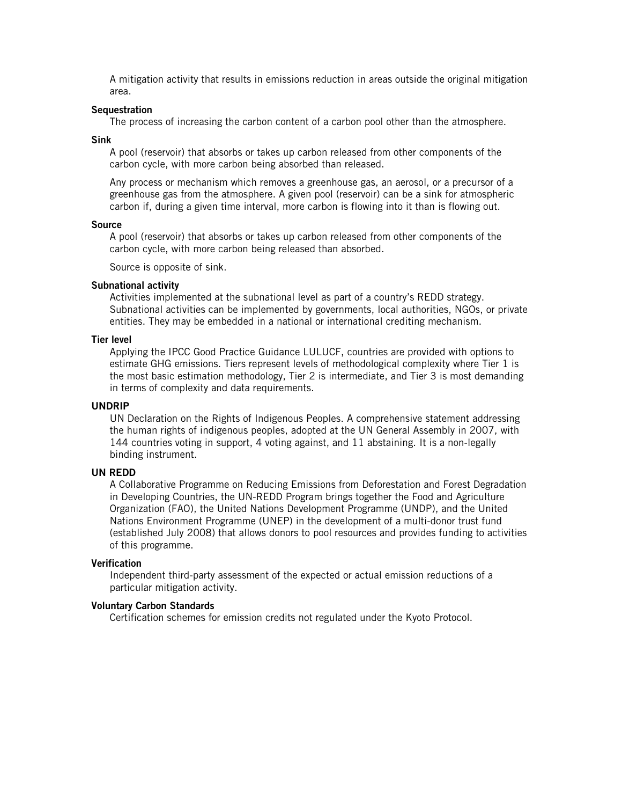A mitigation activity that results in emissions reduction in areas outside the original mitigation area.

#### **Sequestration**

The process of increasing the carbon content of a carbon pool other than the atmosphere.

**Sink** 

A pool (reservoir) that absorbs or takes up carbon released from other components of the carbon cycle, with more carbon being absorbed than released.

Any process or mechanism which removes a greenhouse gas, an aerosol, or a precursor of a greenhouse gas from the atmosphere. A given pool (reservoir) can be a sink for atmospheric carbon if, during a given time interval, more carbon is flowing into it than is flowing out.

#### **Source**

A pool (reservoir) that absorbs or takes up carbon released from other components of the carbon cycle, with more carbon being released than absorbed.

Source is opposite of sink.

#### **Subnational activity**

Activities implemented at the subnational level as part of a country's REDD strategy. Subnational activities can be implemented by governments, local authorities, NGOs, or private entities. They may be embedded in a national or international crediting mechanism.

#### **Tier level**

Applying the IPCC Good Practice Guidance LULUCF, countries are provided with options to estimate GHG emissions. Tiers represent levels of methodological complexity where Tier 1 is the most basic estimation methodology, Tier 2 is intermediate, and Tier 3 is most demanding in terms of complexity and data requirements.

#### **UNDRIP**

UN Declaration on the Rights of Indigenous Peoples. A comprehensive statement addressing the human rights of indigenous peoples, adopted at the UN General Assembly in 2007, with 144 countries voting in support, 4 voting against, and 11 abstaining. It is a non-legally binding instrument.

#### **UN REDD**

A Collaborative Programme on Reducing Emissions from Deforestation and Forest Degradation in Developing Countries, the UN-REDD Program brings together the Food and Agriculture Organization (FAO), the United Nations Development Programme (UNDP), and the United Nations Environment Programme (UNEP) in the development of a multi-donor trust fund (established July 2008) that allows donors to pool resources and provides funding to activities of this programme.

#### **Verification**

Independent third-party assessment of the expected or actual emission reductions of a particular mitigation activity.

### **Voluntary Carbon Standards**

Certification schemes for emission credits not regulated under the Kyoto Protocol.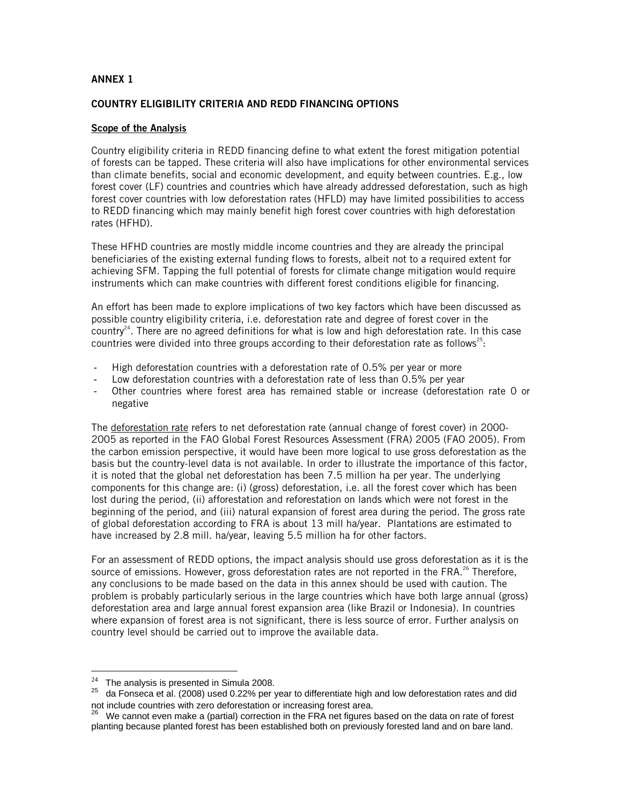## **ANNEX 1**

## **COUNTRY ELIGIBILITY CRITERIA AND REDD FINANCING OPTIONS**

### **Scope of the Analysis**

Country eligibility criteria in REDD financing define to what extent the forest mitigation potential of forests can be tapped. These criteria will also have implications for other environmental services than climate benefits, social and economic development, and equity between countries. E.g., low forest cover (LF) countries and countries which have already addressed deforestation, such as high forest cover countries with low deforestation rates (HFLD) may have limited possibilities to access to REDD financing which may mainly benefit high forest cover countries with high deforestation rates (HFHD).

These HFHD countries are mostly middle income countries and they are already the principal beneficiaries of the existing external funding flows to forests, albeit not to a required extent for achieving SFM. Tapping the full potential of forests for climate change mitigation would require instruments which can make countries with different forest conditions eligible for financing.

An effort has been made to explore implications of two key factors which have been discussed as possible country eligibility criteria, i.e. deforestation rate and degree of forest cover in the country<sup>24</sup>. There are no agreed definitions for what is low and high deforestation rate. In this case countries were divided into three groups according to their deforestation rate as follows<sup>25</sup>:

- High deforestation countries with a deforestation rate of 0.5% per year or more
- Low deforestation countries with a deforestation rate of less than 0.5% per year
- Other countries where forest area has remained stable or increase (deforestation rate 0 or negative

The deforestation rate refers to net deforestation rate (annual change of forest cover) in 2000- 2005 as reported in the FAO Global Forest Resources Assessment (FRA) 2005 (FAO 2005). From the carbon emission perspective, it would have been more logical to use gross deforestation as the basis but the country-level data is not available. In order to illustrate the importance of this factor, it is noted that the global net deforestation has been 7.5 million ha per year. The underlying components for this change are: (i) (gross) deforestation, i.e. all the forest cover which has been lost during the period, (ii) afforestation and reforestation on lands which were not forest in the beginning of the period, and (iii) natural expansion of forest area during the period. The gross rate of global deforestation according to FRA is about 13 mill ha/year. Plantations are estimated to have increased by 2.8 mill. ha/year, leaving 5.5 million ha for other factors.

For an assessment of REDD options, the impact analysis should use gross deforestation as it is the source of emissions. However, gross deforestation rates are not reported in the FRA.<sup>26</sup> Therefore, any conclusions to be made based on the data in this annex should be used with caution. The problem is probably particularly serious in the large countries which have both large annual (gross) deforestation area and large annual forest expansion area (like Brazil or Indonesia). In countries where expansion of forest area is not significant, there is less source of error. Further analysis on country level should be carried out to improve the available data.

 $24$  The analysis is presented in Simula 2008.

 $^{25}$  da Fonseca et al. (2008) used 0.22% per year to differentiate high and low deforestation rates and did

not include countries with zero deforestation or increasing forest area.<br><sup>26</sup> We cannot even make a (partial) correction in the FRA net figures based on the data on rate of forest planting because planted forest has been established both on previously forested land and on bare land.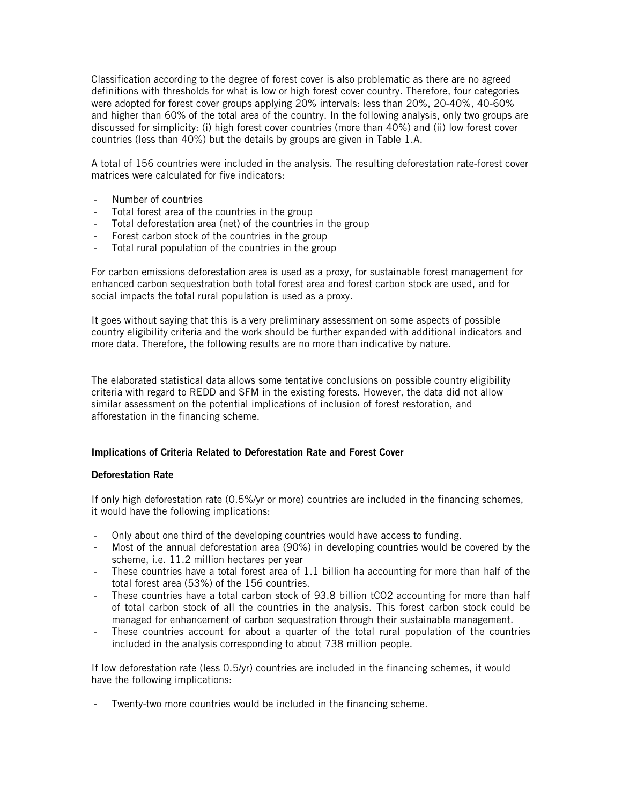Classification according to the degree of <u>forest cover is also problematic as</u> there are no agreed definitions with thresholds for what is low or high forest cover country. Therefore, four categories were adopted for forest cover groups applying 20% intervals: less than 20%, 20-40%, 40-60% and higher than 60% of the total area of the country. In the following analysis, only two groups are discussed for simplicity: (i) high forest cover countries (more than 40%) and (ii) low forest cover countries (less than 40%) but the details by groups are given in Table 1.A.

A total of 156 countries were included in the analysis. The resulting deforestation rate-forest cover matrices were calculated for five indicators:

- Number of countries
- Total forest area of the countries in the group
- Total deforestation area (net) of the countries in the group
- Forest carbon stock of the countries in the group
- Total rural population of the countries in the group

For carbon emissions deforestation area is used as a proxy, for sustainable forest management for enhanced carbon sequestration both total forest area and forest carbon stock are used, and for social impacts the total rural population is used as a proxy.

It goes without saying that this is a very preliminary assessment on some aspects of possible country eligibility criteria and the work should be further expanded with additional indicators and more data. Therefore, the following results are no more than indicative by nature.

The elaborated statistical data allows some tentative conclusions on possible country eligibility criteria with regard to REDD and SFM in the existing forests. However, the data did not allow similar assessment on the potential implications of inclusion of forest restoration, and afforestation in the financing scheme.

### **Implications of Criteria Related to Deforestation Rate and Forest Cover**

### **Deforestation Rate**

If only high deforestation rate (0.5%/yr or more) countries are included in the financing schemes, it would have the following implications:

- Only about one third of the developing countries would have access to funding.
- Most of the annual deforestation area (90%) in developing countries would be covered by the scheme, i.e. 11.2 million hectares per year
- These countries have a total forest area of 1.1 billion ha accounting for more than half of the total forest area (53%) of the 156 countries.
- These countries have a total carbon stock of 93.8 billion tCO2 accounting for more than half of total carbon stock of all the countries in the analysis. This forest carbon stock could be managed for enhancement of carbon sequestration through their sustainable management.
- These countries account for about a quarter of the total rural population of the countries included in the analysis corresponding to about 738 million people.

If low deforestation rate (less 0.5/yr) countries are included in the financing schemes, it would have the following implications:

- Twenty-two more countries would be included in the financing scheme.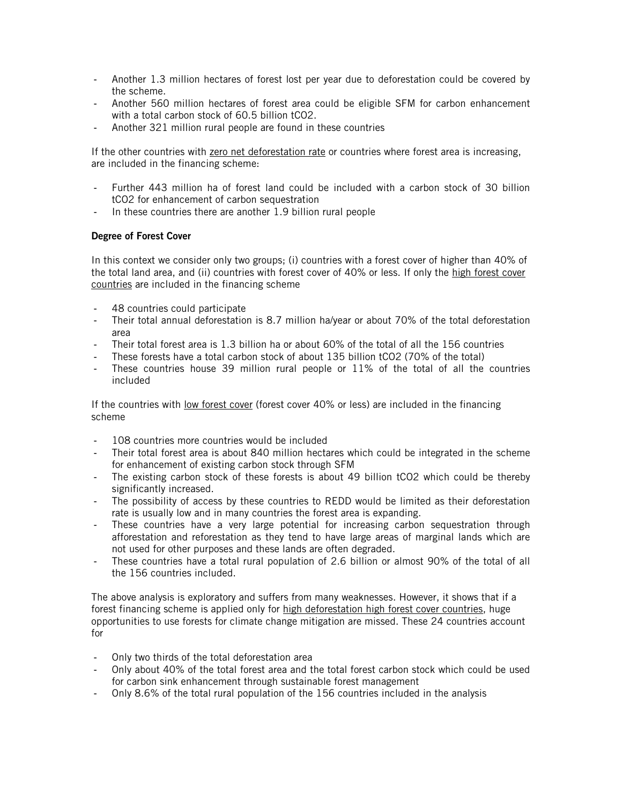- Another 1.3 million hectares of forest lost per year due to deforestation could be covered by the scheme.
- Another 560 million hectares of forest area could be eligible SFM for carbon enhancement with a total carbon stock of 60.5 billion tCO2.
- Another 321 million rural people are found in these countries

If the other countries with zero net deforestation rate or countries where forest area is increasing, are included in the financing scheme:

- Further 443 million ha of forest land could be included with a carbon stock of 30 billion tCO2 for enhancement of carbon sequestration
- In these countries there are another 1.9 billion rural people

## **Degree of Forest Cover**

In this context we consider only two groups; (i) countries with a forest cover of higher than 40% of the total land area, and (ii) countries with forest cover of 40% or less. If only the high forest cover countries are included in the financing scheme

- 48 countries could participate
- Their total annual deforestation is 8.7 million ha/year or about 70% of the total deforestation area
- Their total forest area is 1.3 billion ha or about 60% of the total of all the 156 countries
- These forests have a total carbon stock of about 135 billion tCO2 (70% of the total)
- These countries house 39 million rural people or 11% of the total of all the countries included

If the countries with <u>low forest cover</u> (forest cover 40% or less) are included in the financing scheme

- 108 countries more countries would be included
- Their total forest area is about 840 million hectares which could be integrated in the scheme for enhancement of existing carbon stock through SFM
- The existing carbon stock of these forests is about 49 billion tCO2 which could be thereby significantly increased.
- The possibility of access by these countries to REDD would be limited as their deforestation rate is usually low and in many countries the forest area is expanding.
- These countries have a very large potential for increasing carbon sequestration through afforestation and reforestation as they tend to have large areas of marginal lands which are not used for other purposes and these lands are often degraded.
- These countries have a total rural population of 2.6 billion or almost 90% of the total of all the 156 countries included.

The above analysis is exploratory and suffers from many weaknesses. However, it shows that if a forest financing scheme is applied only for high deforestation high forest cover countries, huge opportunities to use forests for climate change mitigation are missed. These 24 countries account for

- Only two thirds of the total deforestation area
- Only about 40% of the total forest area and the total forest carbon stock which could be used for carbon sink enhancement through sustainable forest management
- Only 8.6% of the total rural population of the 156 countries included in the analysis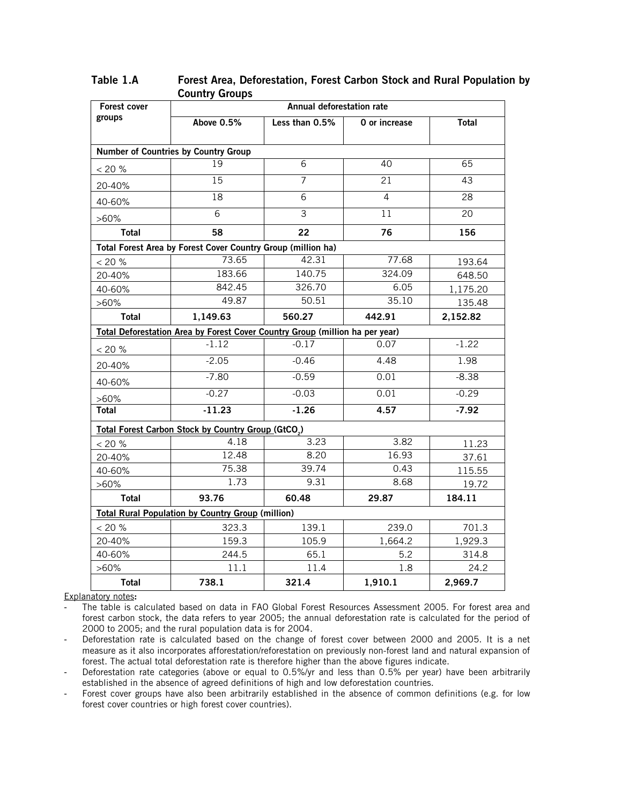| Forest cover | Annual deforestation rate                                                    |                |                 |          |  |  |
|--------------|------------------------------------------------------------------------------|----------------|-----------------|----------|--|--|
| groups       | Above 0.5%                                                                   | Less than 0.5% | O or increase   | Total    |  |  |
|              |                                                                              |                |                 |          |  |  |
|              | <b>Number of Countries by Country Group</b>                                  |                |                 |          |  |  |
| < 20 %       | 19                                                                           | 6              | 40              | 65       |  |  |
| 20-40%       | 15                                                                           | $\overline{7}$ | $\overline{21}$ | 43       |  |  |
| 40-60%       | 18                                                                           | 6              | 4               | 28       |  |  |
| $>60\%$      | $\overline{6}$                                                               | $\overline{3}$ | 11              | 20       |  |  |
| <b>Total</b> | 58                                                                           | 22             | 76              | 156      |  |  |
|              | Total Forest Area by Forest Cover Country Group (million ha)                 |                |                 |          |  |  |
| < 20 %       | 73.65                                                                        | 42.31          | 77.68           | 193.64   |  |  |
| 20-40%       | 183.66                                                                       | 140.75         | 324.09          | 648.50   |  |  |
| 40-60%       | 842.45                                                                       | 326.70         | 6.05            | 1,175.20 |  |  |
| $>60\%$      | 49.87                                                                        | 50.51          | 35.10           | 135.48   |  |  |
| Total        | 1,149.63                                                                     | 560.27         | 442.91          | 2,152.82 |  |  |
|              | Total Deforestation Area by Forest Cover Country Group (million ha per year) |                |                 |          |  |  |
| < 20 %       | $-1.12$                                                                      | $-0.17$        | 0.07            | $-1.22$  |  |  |
| 20-40%       | $-2.05$                                                                      | $-0.46$        | 4.48            | 1.98     |  |  |
| 40-60%       | $-7.80$                                                                      | $-0.59$        | 0.01            | $-8.38$  |  |  |
| $>60\%$      | $-0.27$                                                                      | $-0.03$        | 0.01            | $-0.29$  |  |  |
| <b>Total</b> | $-11.23$                                                                     | $-1.26$        | 4.57            | $-7.92$  |  |  |
|              | <b>Total Forest Carbon Stock by Country Group (GtCO<sub>2</sub>)</b>         |                |                 |          |  |  |
| < 20 %       | 4.18                                                                         | 3.23           | 3.82            | 11.23    |  |  |
| 20-40%       | 12.48                                                                        | 8.20           | 16.93           | 37.61    |  |  |
| 40-60%       | 75.38                                                                        | 39.74          | 0.43            | 115.55   |  |  |
| $>60\%$      | 1.73                                                                         | 9.31           | 8.68            | 19.72    |  |  |
| <b>Total</b> | 93.76                                                                        | 60.48          | 29.87           | 184.11   |  |  |
|              | <b>Total Rural Population by Country Group (million)</b>                     |                |                 |          |  |  |
| $<$ 20 %     | 323.3                                                                        | 139.1          | 239.0           | 701.3    |  |  |
| 20-40%       | 159.3                                                                        | 105.9          | 1,664.2         | 1,929.3  |  |  |
| 40-60%       | 244.5                                                                        | 65.1           | 5.2             | 314.8    |  |  |
| $>60\%$      | 11.1                                                                         | 11.4           | 1.8             | 24.2     |  |  |
| <b>Total</b> | 738.1                                                                        | 321.4          | 1,910.1         | 2,969.7  |  |  |

**Table 1.A Forest Area, Deforestation, Forest Carbon Stock and Rural Population by Country Groups** 

Explanatory notes**:** 

- The table is calculated based on data in FAO Global Forest Resources Assessment 2005. For forest area and forest carbon stock, the data refers to year 2005; the annual deforestation rate is calculated for the period of 2000 to 2005; and the rural population data is for 2004.

- Deforestation rate is calculated based on the change of forest cover between 2000 and 2005. It is a net measure as it also incorporates afforestation/reforestation on previously non-forest land and natural expansion of forest. The actual total deforestation rate is therefore higher than the above figures indicate.

- Deforestation rate categories (above or equal to 0.5%/yr and less than 0.5% per year) have been arbitrarily established in the absence of agreed definitions of high and low deforestation countries.

- Forest cover groups have also been arbitrarily established in the absence of common definitions (e.g. for low forest cover countries or high forest cover countries).